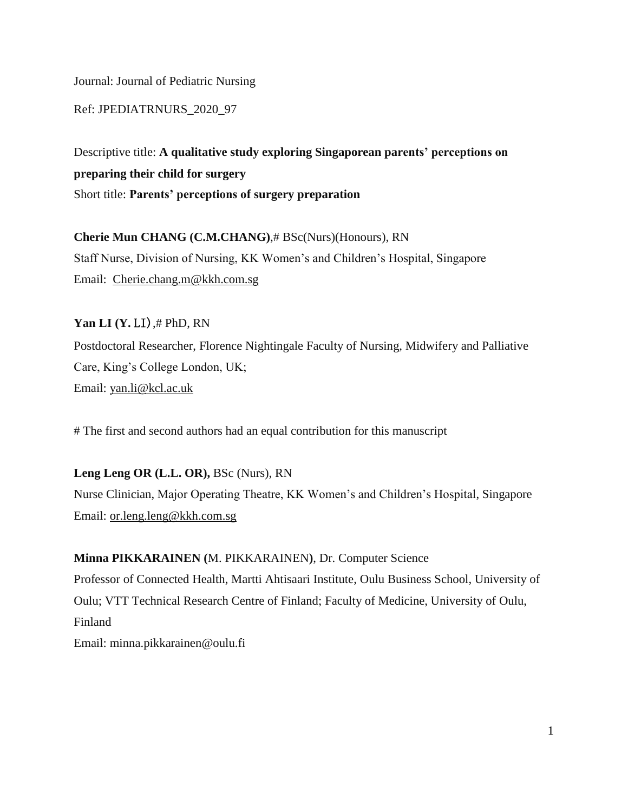Journal: Journal of Pediatric Nursing

Ref: JPEDIATRNURS\_2020\_97

Descriptive title: **A qualitative study exploring Singaporean parents' perceptions on preparing their child for surgery** Short title: **Parents' perceptions of surgery preparation**

**Cherie Mun CHANG (C.M.CHANG)**,# BSc(Nurs)(Honours), RN Staff Nurse, Division of Nursing, KK Women's and Children's Hospital, Singapore Email: [Cherie.chang.m@kkh.com.sg](mailto:Cherie.chang.m@kkh.com.sg)

**Yan LI (Y. LI)**, # PhD, RN Postdoctoral Researcher, Florence Nightingale Faculty of Nursing, Midwifery and Palliative Care, King's College London, UK; Email: [yan.li@kcl.ac.uk](mailto:yan.li@kcl.ac.uk)

# The first and second authors had an equal contribution for this manuscript

**Leng Leng OR (L.L. OR),** BSc (Nurs), RN Nurse Clinician, Major Operating Theatre, KK Women's and Children's Hospital, Singapore Email: [or.leng.leng@kkh.com.sg](mailto:or.leng.leng@kkh.com.sg)

**Minna PIKKARAINEN (**M. PIKKARAINEN**)**, Dr. Computer Science Professor of Connected Health, Martti Ahtisaari Institute, [Oulu](http://www.mipt-oulu.fi/#_blank) Business School, University of Oulu; VTT Technical Research Centre of Finland; Faculty of Medicine, University of Oulu, Finland Email: [minna.pikkarainen@oulu.fi](mailto:minna.pikkarainen@oulu.fi)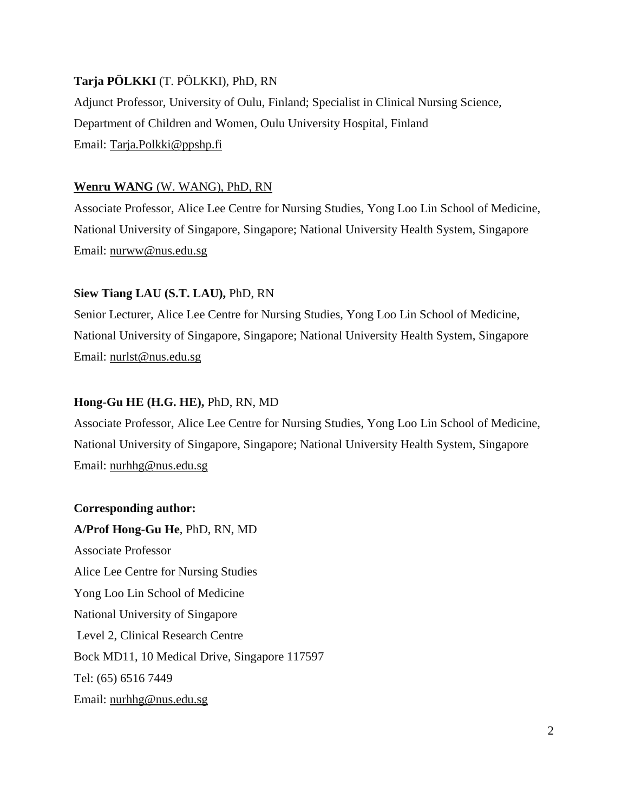## **Tarja PÖLKKI** (T. PÖLKKI), PhD, RN

Adjunct Professor, University of Oulu, Finland; Specialist in Clinical Nursing Science, Department of Children and Women, Oulu University Hospital, Finland Email: [Tarja.Polkki@ppshp.fi](mailto:Tarja.Polkki@ppshp.fi)

# **Wenru WANG** (W. WANG), PhD, RN

Associate Professor, Alice Lee Centre for Nursing Studies, Yong Loo Lin School of Medicine, National University of Singapore, Singapore; National University Health System, Singapore Email: [nurww@nus.edu.sg](mailto:nurww@nus.edu.sg)

# **Siew Tiang LAU (S.T. LAU),** PhD, RN

Senior Lecturer, Alice Lee Centre for Nursing Studies, Yong Loo Lin School of Medicine, National University of Singapore, Singapore; National University Health System, Singapore Email: [nurlst@nus.edu.sg](mailto:nurlst@nus.edu.sg)

# **Hong-Gu HE (H.G. HE),** PhD, RN, MD

Associate Professor, Alice Lee Centre for Nursing Studies, Yong Loo Lin School of Medicine, National University of Singapore, Singapore; National University Health System, Singapore Email: [nurhhg@nus.edu.sg](mailto:nurhhg@nus.edu.sg)

# **Corresponding author:**

**A/Prof Hong-Gu He**, PhD, RN, MD Associate Professor Alice Lee Centre for Nursing Studies Yong Loo Lin School of Medicine National University of Singapore Level 2, Clinical Research Centre Bock MD11, 10 Medical Drive, Singapore 117597 Tel: (65) 6516 7449 Email: [nurhhg@nus.edu.sg](mailto:nurhhg@nus.edu.sg)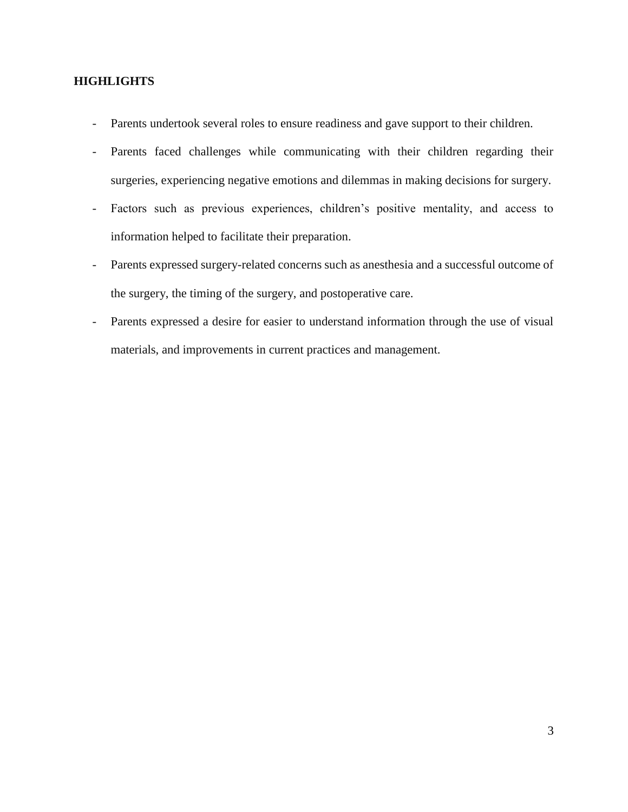## **HIGHLIGHTS**

- Parents undertook several roles to ensure readiness and gave support to their children.
- Parents faced challenges while communicating with their children regarding their surgeries, experiencing negative emotions and dilemmas in making decisions for surgery.
- Factors such as previous experiences, children's positive mentality, and access to information helped to facilitate their preparation.
- Parents expressed surgery-related concerns such as anesthesia and a successful outcome of the surgery, the timing of the surgery, and postoperative care.
- Parents expressed a desire for easier to understand information through the use of visual materials, and improvements in current practices and management.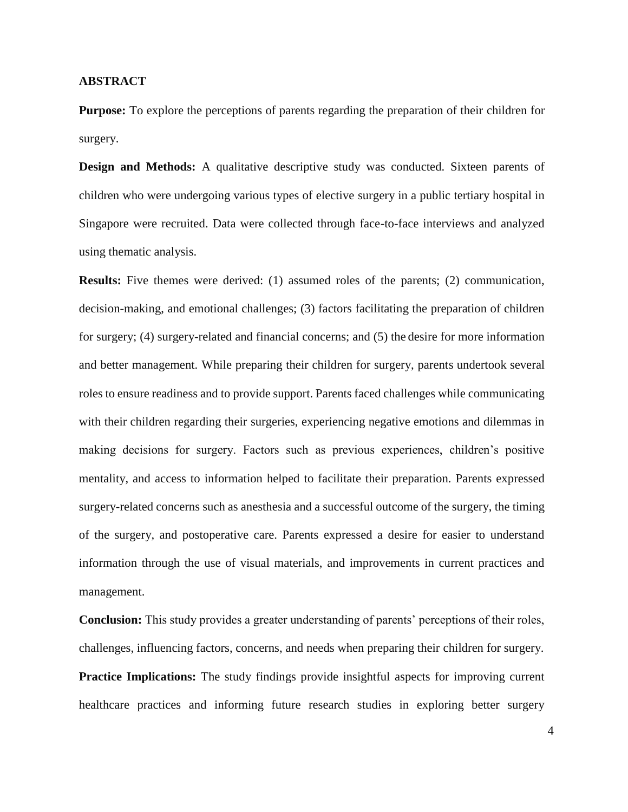### **ABSTRACT**

**Purpose:** To explore the perceptions of parents regarding the preparation of their children for surgery.

**Design and Methods:** A qualitative descriptive study was conducted. Sixteen parents of children who were undergoing various types of elective surgery in a public tertiary hospital in Singapore were recruited. Data were collected through face-to-face interviews and analyzed using thematic analysis.

**Results:** Five themes were derived: (1) assumed roles of the parents; (2) communication, decision-making, and emotional challenges; (3) factors facilitating the preparation of children for surgery; (4) surgery-related and financial concerns; and (5) the desire for more information and better management. While preparing their children for surgery, parents undertook several roles to ensure readiness and to provide support. Parents faced challenges while communicating with their children regarding their surgeries, experiencing negative emotions and dilemmas in making decisions for surgery. Factors such as previous experiences, children's positive mentality, and access to information helped to facilitate their preparation. Parents expressed surgery-related concerns such as anesthesia and a successful outcome of the surgery, the timing of the surgery, and postoperative care. Parents expressed a desire for easier to understand information through the use of visual materials, and improvements in current practices and management.

**Conclusion:** This study provides a greater understanding of parents' perceptions of their roles, challenges, influencing factors, concerns, and needs when preparing their children for surgery. **Practice Implications:** The study findings provide insightful aspects for improving current healthcare practices and informing future research studies in exploring better surgery

4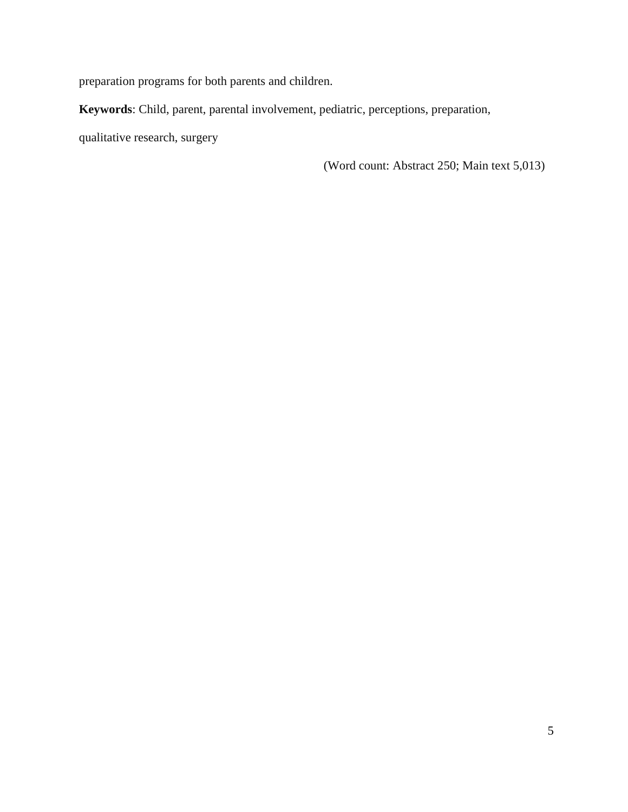preparation programs for both parents and children.

**Keywords**: Child, parent, parental involvement, pediatric, perceptions, preparation,

qualitative research, surgery

(Word count: Abstract 250; Main text 5,013)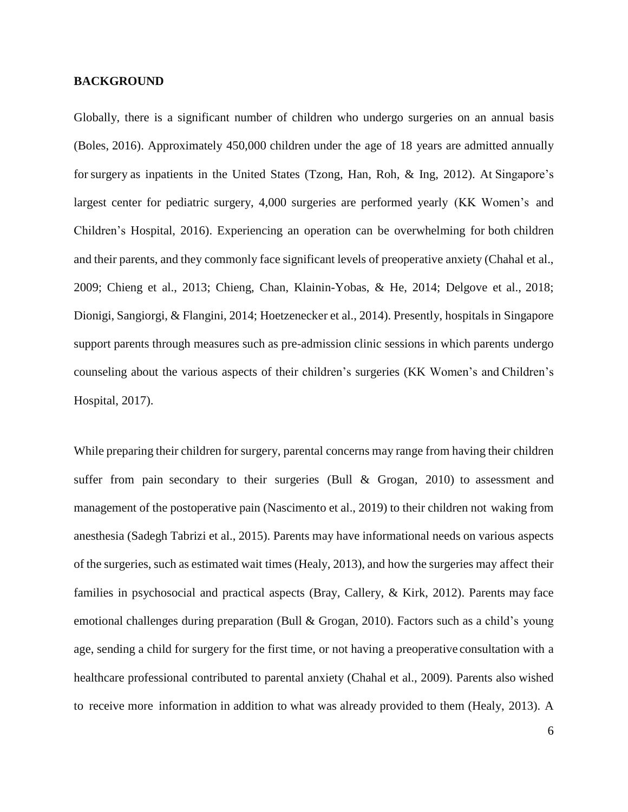### **BACKGROUND**

Globally, there is a significant number of children who undergo surgeries on an annual basis (Boles, 2016). Approximately 450,000 children under the age of 18 years are admitted annually forsurgery as inpatients in the United States [\(Tzong,](https://www.ncbi.nlm.nih.gov/pubmed/?term=Tzong%20KY%5BAuthor%5D&cauthor=true&cauthor_uid=23076227) [Han,](https://www.ncbi.nlm.nih.gov/pubmed/?term=Han%20S%5BAuthor%5D&cauthor=true&cauthor_uid=23076227) [Roh,](https://www.ncbi.nlm.nih.gov/pubmed/?term=Roh%20A%5BAuthor%5D&cauthor=true&cauthor_uid=23076227) & Ing, [2012\).](https://www.ncbi.nlm.nih.gov/pubmed/?term=Ing%20C%5BAuthor%5D&cauthor=true&cauthor_uid=23076227) At Singapore's largest center for pediatric surgery, 4,000 surgeries are performed yearly (KK Women's and Children's Hospital, 2016). Experiencing an operation can be overwhelming for both children and their parents, and they commonly face significant levels of preoperative anxiety (Chahal et al., 2009; Chieng et al., 2013; Chieng, Chan, Klainin-Yobas, & He, 2014; Delgove et al., 2018; Dionigi, Sangiorgi, & Flangini, 2014; Hoetzenecker et al., 2014). Presently, hospitals in Singapore support parents through measures such as pre-admission clinic sessions in which parents undergo counseling about the various aspects of their children's surgeries (KK Women's and Children's Hospital, 2017).

While preparing their children for surgery, parental concerns may range from having their children suffer from pain secondary to their surgeries (Bull & Grogan, 2010) to assessment and management of the postoperative pain (Nascimento et al., 2019) to their children not waking from anesthesia (Sadegh Tabrizi et al., 2015). Parents may have informational needs on various aspects of the surgeries, such as estimated wait times (Healy, 2013), and how the surgeries may affect their families in psychosocial and practical aspects (Bray, Callery, & Kirk, 2012). Parents may face emotional challenges during preparation (Bull & Grogan, 2010). Factors such as a child's young age, sending a child for surgery for the first time, or not having a preoperative consultation with a healthcare professional contributed to parental anxiety (Chahal et al., 2009). Parents also wished to receive more information in addition to what was already provided to them (Healy, 2013). A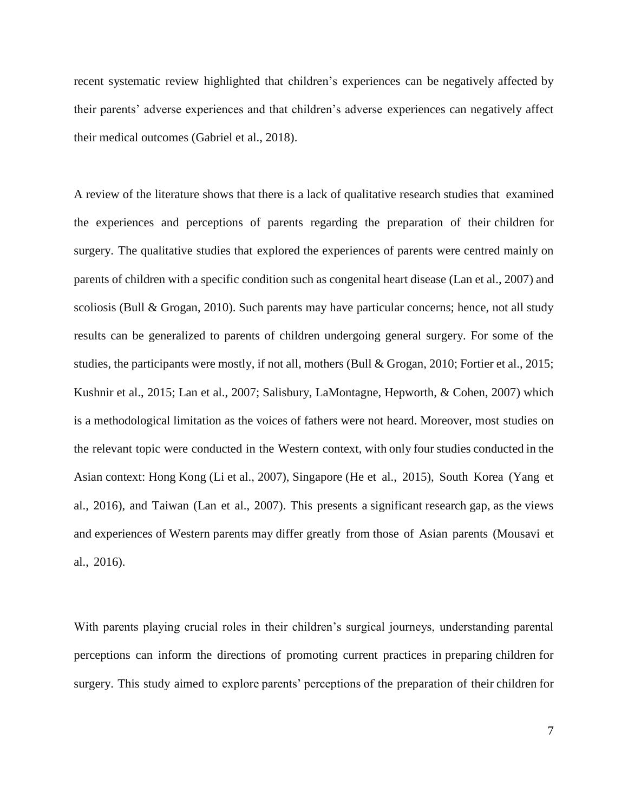recent systematic review highlighted that children's experiences can be negatively affected by their parents' adverse experiences and that children's adverse experiences can negatively affect their medical outcomes (Gabriel et al., 2018).

A review of the literature shows that there is a lack of qualitative research studies that examined the experiences and perceptions of parents regarding the preparation of their children for surgery. The qualitative studies that explored the experiences of parents were centred mainly on parents of children with a specific condition such as congenital heart disease (Lan et al., 2007) and scoliosis (Bull & Grogan, 2010). Such parents may have particular concerns; hence, not all study results can be generalized to parents of children undergoing general surgery. For some of the studies, the participants were mostly, if not all, mothers (Bull & Grogan, 2010; Fortier et al., 2015; Kushnir et al., 2015; Lan et al., 2007; Salisbury, LaMontagne, Hepworth, & Cohen, 2007) which is a methodological limitation as the voices of fathers were not heard. Moreover, most studies on the relevant topic were conducted in the Western context, with only four studies conducted in the Asian context: Hong Kong (Li et al., 2007), Singapore (He et al., 2015), South Korea (Yang et al., 2016), and Taiwan (Lan et al., 2007). This presents a significant research gap, as the views and experiences of Western parents may differ greatly from those of Asian parents (Mousavi et al., 2016).

With parents playing crucial roles in their children's surgical journeys, understanding parental perceptions can inform the directions of promoting current practices in preparing children for surgery. This study aimed to explore parents' perceptions of the preparation of their children for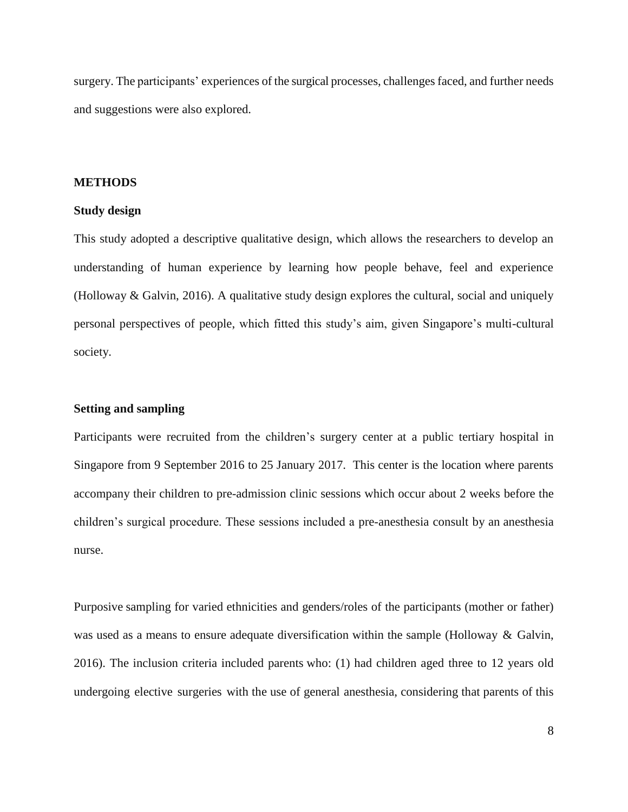surgery. The participants' experiences of the surgical processes, challenges faced, and further needs and suggestions were also explored.

### **METHODS**

#### **Study design**

This study adopted a descriptive qualitative design, which allows the researchers to develop an understanding of human experience by learning how people behave, feel and experience (Holloway & Galvin, 2016). A qualitative study design explores the cultural, social and uniquely personal perspectives of people, which fitted this study's aim, given Singapore's multi-cultural society.

### **Setting and sampling**

Participants were recruited from the children's surgery center at a public tertiary hospital in Singapore from 9 September 2016 to 25 January 2017. This center is the location where parents accompany their children to pre-admission clinic sessions which occur about 2 weeks before the children's surgical procedure. These sessions included a pre-anesthesia consult by an anesthesia nurse.

Purposive sampling for varied ethnicities and genders/roles of the participants (mother or father) was used as a means to ensure adequate diversification within the sample (Holloway & Galvin, 2016). The inclusion criteria included parents who: (1) had children aged three to 12 years old undergoing elective surgeries with the use of general anesthesia, considering that parents of this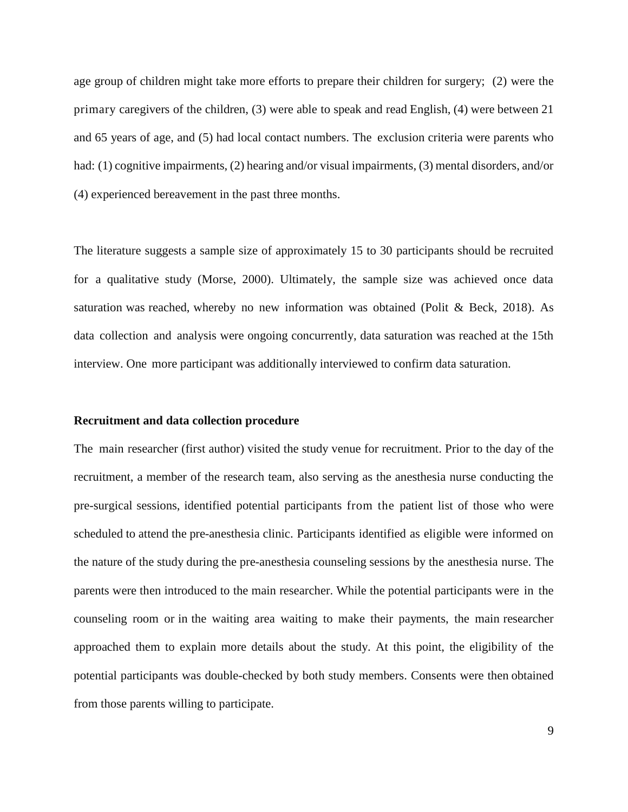age group of children might take more efforts to prepare their children for surgery; (2) were the primary caregivers of the children, (3) were able to speak and read English, (4) were between 21 and 65 years of age, and (5) had local contact numbers. The exclusion criteria were parents who had: (1) cognitive impairments, (2) hearing and/or visual impairments, (3) mental disorders, and/or (4) experienced bereavement in the past three months.

The literature suggests a sample size of approximately 15 to 30 participants should be recruited for a qualitative study (Morse, 2000). Ultimately, the sample size was achieved once data saturation was reached, whereby no new information was obtained (Polit & Beck, 2018). As data collection and analysis were ongoing concurrently, data saturation was reached at the 15th interview. One more participant was additionally interviewed to confirm data saturation.

### **Recruitment and data collection procedure**

The main researcher (first author) visited the study venue for recruitment. Prior to the day of the recruitment, a member of the research team, also serving as the anesthesia nurse conducting the pre-surgical sessions, identified potential participants from the patient list of those who were scheduled to attend the pre-anesthesia clinic. Participants identified as eligible were informed on the nature of the study during the pre-anesthesia counseling sessions by the anesthesia nurse. The parents were then introduced to the main researcher. While the potential participants were in the counseling room or in the waiting area waiting to make their payments, the main researcher approached them to explain more details about the study. At this point, the eligibility of the potential participants was double-checked by both study members. Consents were then obtained from those parents willing to participate.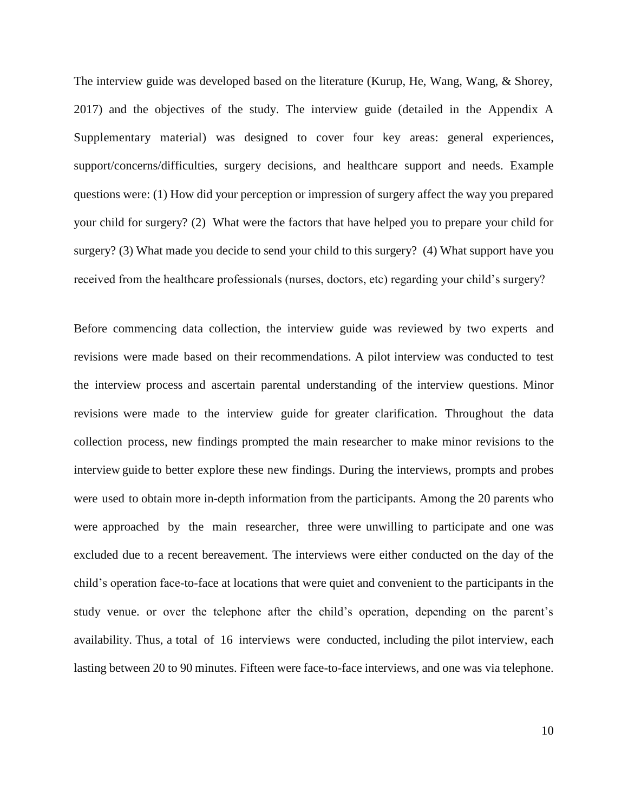The interview guide was developed based on the literature (Kurup, He, Wang, Wang, & Shorey, 2017) and the objectives of the study. The interview guide (detailed in the Appendix A Supplementary material) was designed to cover four key areas: general experiences, support/concerns/difficulties, surgery decisions, and healthcare support and needs. Example questions were: (1) How did your perception or impression of surgery affect the way you prepared your child for surgery? (2) What were the factors that have helped you to prepare your child for surgery? (3) What made you decide to send your child to this surgery? (4) What support have you received from the healthcare professionals (nurses, doctors, etc) regarding your child's surgery?

Before commencing data collection, the interview guide was reviewed by two experts and revisions were made based on their recommendations. A pilot interview was conducted to test the interview process and ascertain parental understanding of the interview questions. Minor revisions were made to the interview guide for greater clarification. Throughout the data collection process, new findings prompted the main researcher to make minor revisions to the interview guide to better explore these new findings. During the interviews, prompts and probes were used to obtain more in-depth information from the participants. Among the 20 parents who were approached by the main researcher, three were unwilling to participate and one was excluded due to a recent bereavement. The interviews were either conducted on the day of the child's operation face-to-face at locations that were quiet and convenient to the participants in the study venue. or over the telephone after the child's operation, depending on the parent's availability. Thus, a total of 16 interviews were conducted, including the pilot interview, each lasting between 20 to 90 minutes. Fifteen were face-to-face interviews, and one was via telephone.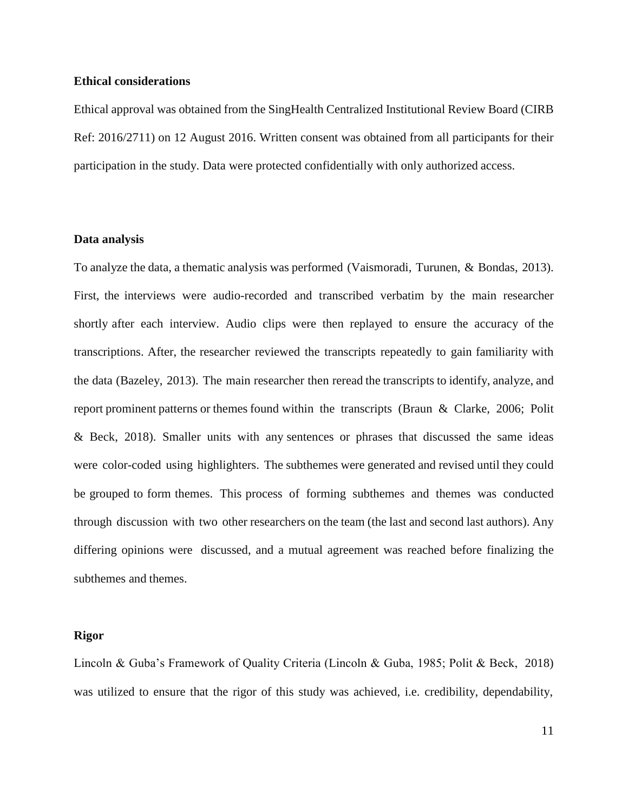### **Ethical considerations**

Ethical approval was obtained from the SingHealth Centralized Institutional Review Board (CIRB Ref: 2016/2711) on 12 August 2016. Written consent was obtained from all participants for their participation in the study. Data were protected confidentially with only authorized access.

### **Data analysis**

To analyze the data, a thematic analysis was performed (Vaismoradi, Turunen, & Bondas, 2013). First, the interviews were audio-recorded and transcribed verbatim by the main researcher shortly after each interview. Audio clips were then replayed to ensure the accuracy of the transcriptions. After, the researcher reviewed the transcripts repeatedly to gain familiarity with the data (Bazeley, 2013). The main researcher then reread the transcripts to identify, analyze, and report prominent patterns or themes found within the transcripts (Braun & Clarke, 2006; Polit & Beck, 2018). Smaller units with any sentences or phrases that discussed the same ideas were color-coded using highlighters. The subthemes were generated and revised until they could be grouped to form themes. This process of forming subthemes and themes was conducted through discussion with two other researchers on the team (the last and second last authors). Any differing opinions were discussed, and a mutual agreement was reached before finalizing the subthemes and themes.

### **Rigor**

Lincoln & Guba's Framework of Quality Criteria (Lincoln & Guba, 1985; Polit & Beck, 2018) was utilized to ensure that the rigor of this study was achieved, i.e. credibility, dependability,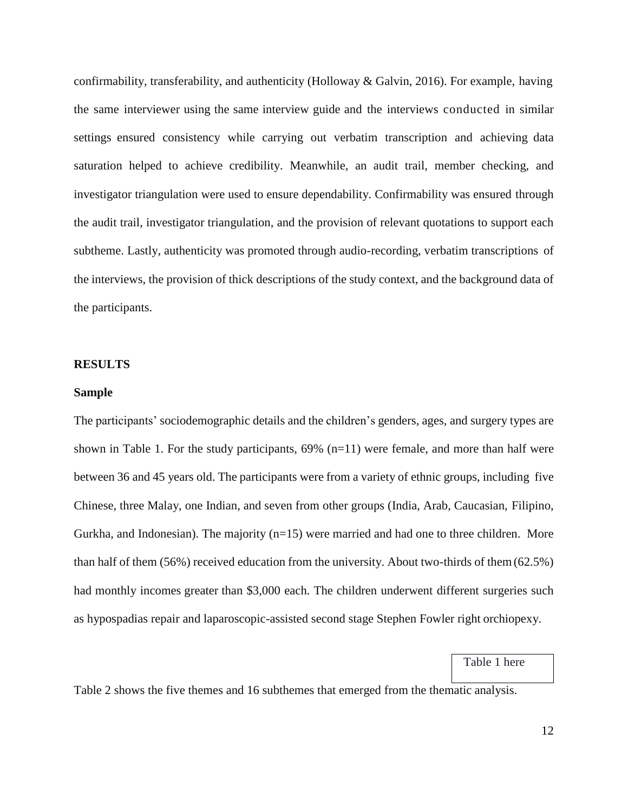confirmability, transferability, and authenticity (Holloway & Galvin, 2016). For example, having the same interviewer using the same interview guide and the interviews conducted in similar settings ensured consistency while carrying out verbatim transcription and achieving data saturation helped to achieve credibility. Meanwhile, an audit trail, member checking, and investigator triangulation were used to ensure dependability. Confirmability was ensured through the audit trail, investigator triangulation, and the provision of relevant quotations to support each subtheme. Lastly, authenticity was promoted through audio-recording, verbatim transcriptions of the interviews, the provision of thick descriptions of the study context, and the background data of the participants.

### **RESULTS**

#### **Sample**

The participants' sociodemographic details and the children's genders, ages, and surgery types are shown in Table 1. For the study participants,  $69\%$  (n=11) were female, and more than half were between 36 and 45 years old. The participants were from a variety of ethnic groups, including five Chinese, three Malay, one Indian, and seven from other groups (India, Arab, Caucasian, Filipino, Gurkha, and Indonesian). The majority (n=15) were married and had one to three children. More than half of them (56%) received education from the university. About two-thirds of them(62.5%) had monthly incomes greater than \$3,000 each. The children underwent different surgeries such as hypospadias repair and laparoscopic-assisted second stage Stephen Fowler right orchiopexy.

Table 1 here

Table 2 shows the five themes and 16 subthemes that emerged from the thematic analysis.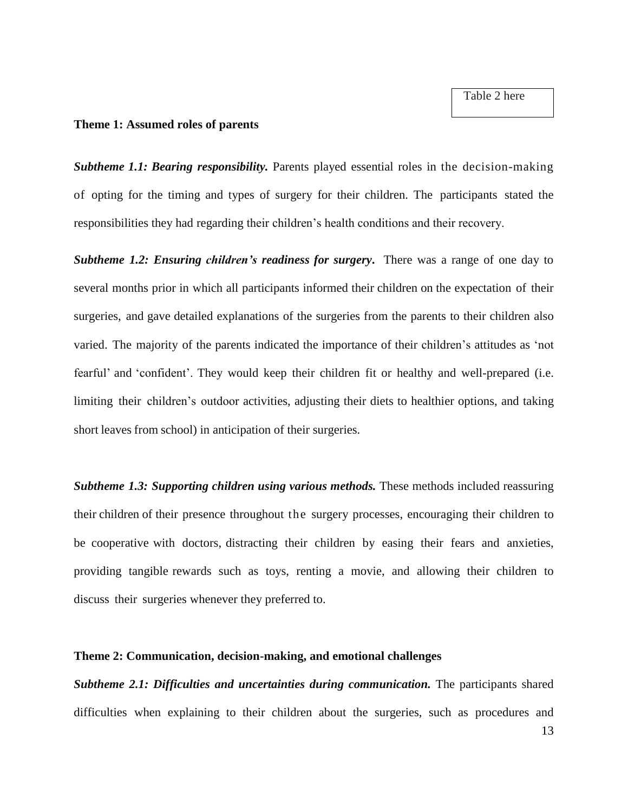Table 2 here

### **Theme 1: Assumed roles of parents**

*Subtheme 1.1: Bearing responsibility.* Parents played essential roles in the decision-making of opting for the timing and types of surgery for their children. The participants stated the responsibilities they had regarding their children's health conditions and their recovery.

*Subtheme 1.2: Ensuring children's readiness for surgery***.** There was a range of one day to several months prior in which all participants informed their children on the expectation of their surgeries, and gave detailed explanations of the surgeries from the parents to their children also varied. The majority of the parents indicated the importance of their children's attitudes as 'not fearful' and 'confident'. They would keep their children fit or healthy and well-prepared (i.e. limiting their children's outdoor activities, adjusting their diets to healthier options, and taking short leaves from school) in anticipation of their surgeries.

*Subtheme 1.3: Supporting children using various methods.* These methods included reassuring their children of their presence throughout the surgery processes, encouraging their children to be cooperative with doctors, distracting their children by easing their fears and anxieties, providing tangible rewards such as toys, renting a movie, and allowing their children to discuss their surgeries whenever they preferred to.

## **Theme 2: Communication, decision-making, and emotional challenges**

**Subtheme 2.1: Difficulties and uncertainties during communication.** The participants shared difficulties when explaining to their children about the surgeries, such as procedures and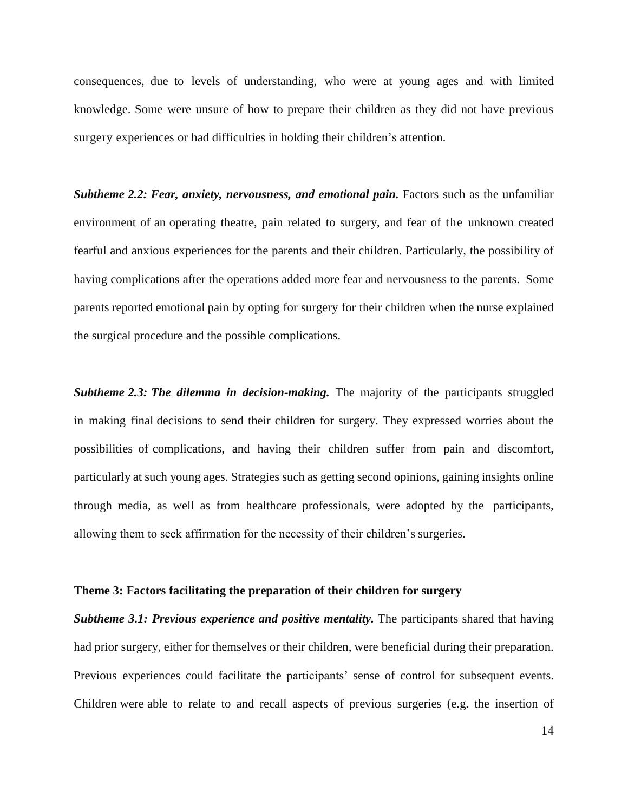consequences, due to levels of understanding, who were at young ages and with limited knowledge. Some were unsure of how to prepare their children as they did not have previous surgery experiences or had difficulties in holding their children's attention.

*Subtheme 2.2: Fear, anxiety, nervousness, and emotional pain.* Factors such as the unfamiliar environment of an operating theatre, pain related to surgery, and fear of the unknown created fearful and anxious experiences for the parents and their children. Particularly, the possibility of having complications after the operations added more fear and nervousness to the parents. Some parents reported emotional pain by opting for surgery for their children when the nurse explained the surgical procedure and the possible complications.

*Subtheme 2.3: The dilemma in decision-making.* The majority of the participants struggled in making final decisions to send their children for surgery. They expressed worries about the possibilities of complications, and having their children suffer from pain and discomfort, particularly at such young ages. Strategies such as getting second opinions, gaining insights online through media, as well as from healthcare professionals, were adopted by the participants, allowing them to seek affirmation for the necessity of their children's surgeries.

#### **Theme 3: Factors facilitating the preparation of their children for surgery**

*Subtheme 3.1: Previous experience and positive mentality.* The participants shared that having had prior surgery, either for themselves or their children, were beneficial during their preparation. Previous experiences could facilitate the participants' sense of control for subsequent events. Children were able to relate to and recall aspects of previous surgeries (e.g. the insertion of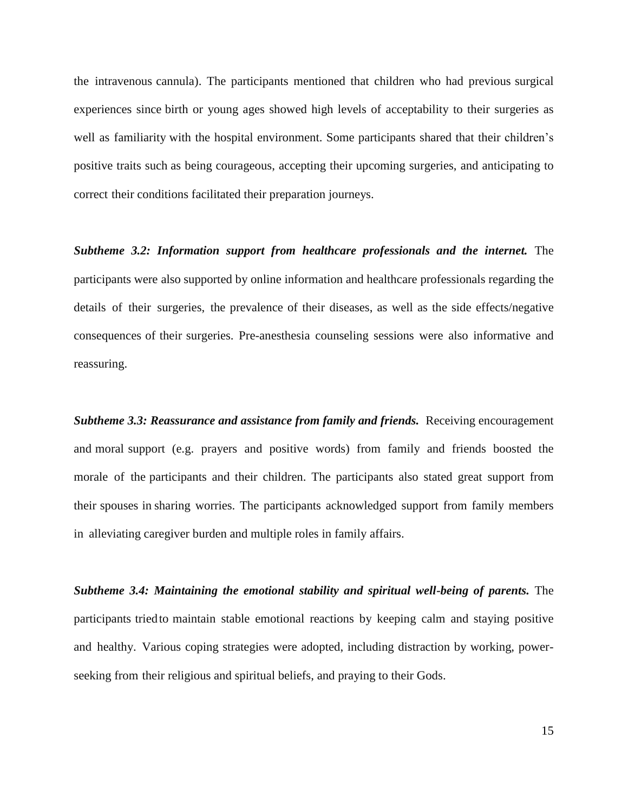the intravenous cannula). The participants mentioned that children who had previous surgical experiences since birth or young ages showed high levels of acceptability to their surgeries as well as familiarity with the hospital environment. Some participants shared that their children's positive traits such as being courageous, accepting their upcoming surgeries, and anticipating to correct their conditions facilitated their preparation journeys.

*Subtheme 3.2: Information support from healthcare professionals and the internet. The* participants were also supported by online information and healthcare professionals regarding the details of their surgeries, the prevalence of their diseases, as well as the side effects/negative consequences of their surgeries. Pre-anesthesia counseling sessions were also informative and reassuring.

*Subtheme 3.3: Reassurance and assistance from family and friends. Receiving encouragement* and moral support (e.g. prayers and positive words) from family and friends boosted the morale of the participants and their children. The participants also stated great support from their spouses in sharing worries. The participants acknowledged support from family members in alleviating caregiver burden and multiple roles in family affairs.

*Subtheme 3.4: Maintaining the emotional stability and spiritual well-being of parents.* The participants triedto maintain stable emotional reactions by keeping calm and staying positive and healthy. Various coping strategies were adopted, including distraction by working, powerseeking from their religious and spiritual beliefs, and praying to their Gods.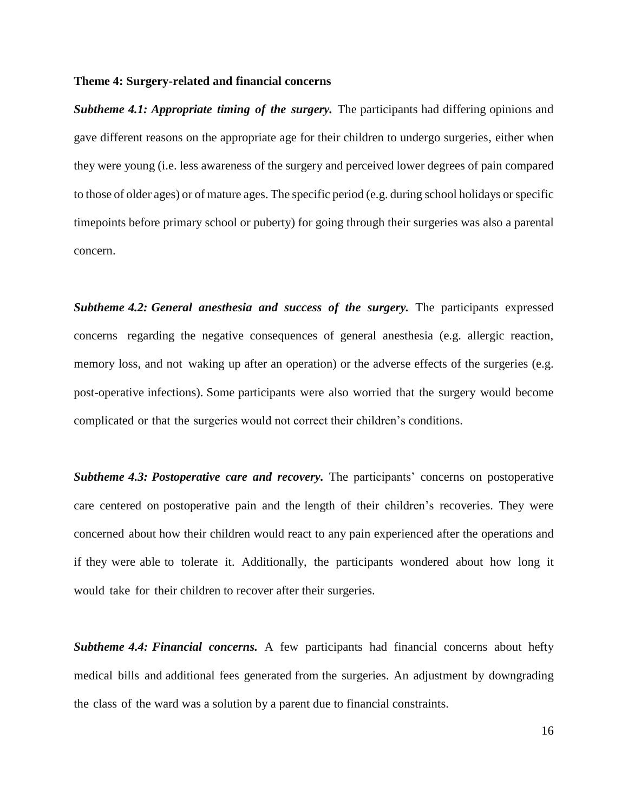### **Theme 4: Surgery-related and financial concerns**

*Subtheme 4.1: Appropriate timing of the surgery.* The participants had differing opinions and gave different reasons on the appropriate age for their children to undergo surgeries, either when they were young (i.e. less awareness of the surgery and perceived lower degrees of pain compared to those of older ages) or of mature ages. The specific period (e.g. during school holidays orspecific timepoints before primary school or puberty) for going through their surgeries was also a parental concern.

*Subtheme 4.2: General anesthesia and success of the surgery.* The participants expressed concerns regarding the negative consequences of general anesthesia (e.g. allergic reaction, memory loss, and not waking up after an operation) or the adverse effects of the surgeries (e.g. post-operative infections). Some participants were also worried that the surgery would become complicated or that the surgeries would not correct their children's conditions.

*Subtheme 4.3: Postoperative care and recovery.* The participants' concerns on postoperative care centered on postoperative pain and the length of their children's recoveries. They were concerned about how their children would react to any pain experienced after the operations and if they were able to tolerate it. Additionally, the participants wondered about how long it would take for their children to recover after their surgeries.

*Subtheme 4.4: Financial concerns.* A few participants had financial concerns about hefty medical bills and additional fees generated from the surgeries. An adjustment by downgrading the class of the ward was a solution by a parent due to financial constraints.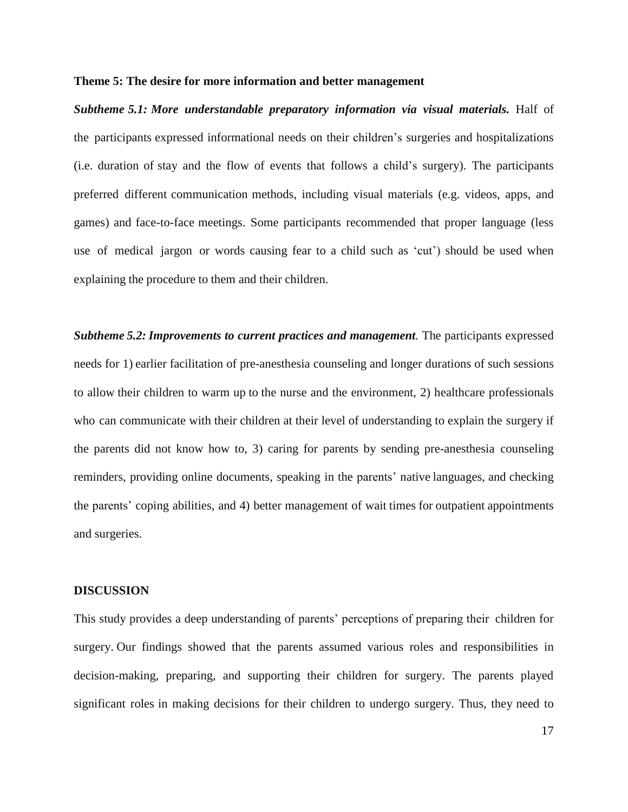### **Theme 5: The desire for more information and better management**

*Subtheme 5.1: More understandable preparatory information via visual materials.* Half of the participants expressed informational needs on their children's surgeries and hospitalizations (i.e. duration of stay and the flow of events that follows a child's surgery). The participants preferred different communication methods, including visual materials (e.g. videos, apps, and games) and face-to-face meetings. Some participants recommended that proper language (less use of medical jargon or words causing fear to a child such as 'cut') should be used when explaining the procedure to them and their children.

*Subtheme 5.2: Improvements to current practices and management.* The participants expressed needs for 1) earlier facilitation of pre-anesthesia counseling and longer durations of such sessions to allow their children to warm up to the nurse and the environment, 2) healthcare professionals who can communicate with their children at their level of understanding to explain the surgery if the parents did not know how to, 3) caring for parents by sending pre-anesthesia counseling reminders, providing online documents, speaking in the parents' native languages, and checking the parents' coping abilities, and 4) better management of wait times for outpatient appointments and surgeries.

#### **DISCUSSION**

This study provides a deep understanding of parents' perceptions of preparing their children for surgery. Our findings showed that the parents assumed various roles and responsibilities in decision-making, preparing, and supporting their children for surgery. The parents played significant roles in making decisions for their children to undergo surgery. Thus, they need to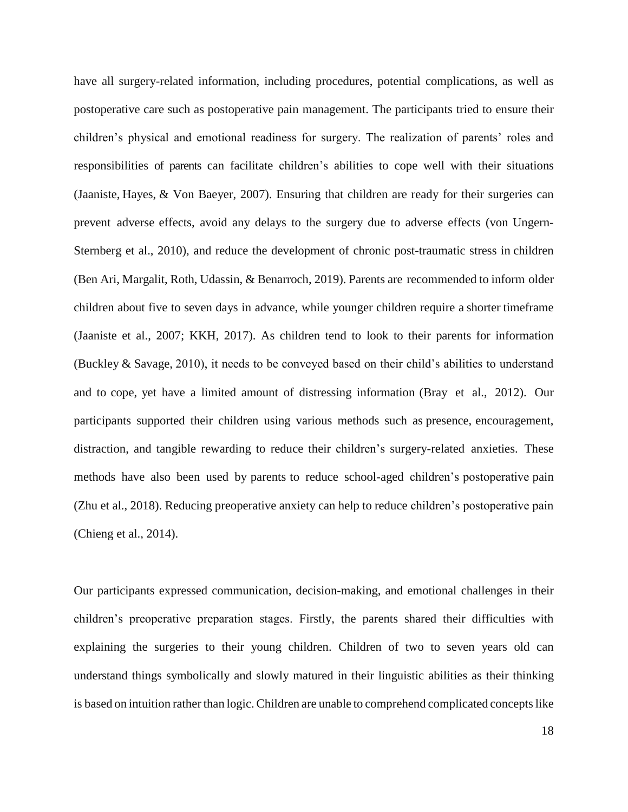have all surgery-related information, including procedures, potential complications, as well as postoperative care such as postoperative pain management. The participants tried to ensure their children's physical and emotional readiness for surgery. The realization of parents' roles and responsibilities of parents can facilitate children's abilities to cope well with their situations (Jaaniste, Hayes, & Von Baeyer, 2007). Ensuring that children are ready for their surgeries can prevent adverse effects, avoid any delays to the surgery due to adverse effects (von Ungern-Sternberg et al., 2010), and reduce the development of chronic post-traumatic stress in children (Ben Ari, Margalit, Roth, Udassin, & Benarroch, 2019). Parents are recommended to inform older children about five to seven days in advance, while younger children require a shorter timeframe (Jaaniste et al., 2007; KKH, 2017). As children tend to look to their parents for information (Buckley & Savage, 2010), it needs to be conveyed based on their child's abilities to understand and to cope, yet have a limited amount of distressing information (Bray et al., 2012). Our participants supported their children using various methods such as presence, encouragement, distraction, and tangible rewarding to reduce their children's surgery-related anxieties. These methods have also been used by parents to reduce school-aged children's postoperative pain (Zhu et al., 2018). Reducing preoperative anxiety can help to reduce children's postoperative pain (Chieng et al., 2014).

Our participants expressed communication, decision-making, and emotional challenges in their children's preoperative preparation stages. Firstly, the parents shared their difficulties with explaining the surgeries to their young children. Children of two to seven years old can understand things symbolically and slowly matured in their linguistic abilities as their thinking is based on intuition rather than logic. Children are unable to comprehend complicated concepts like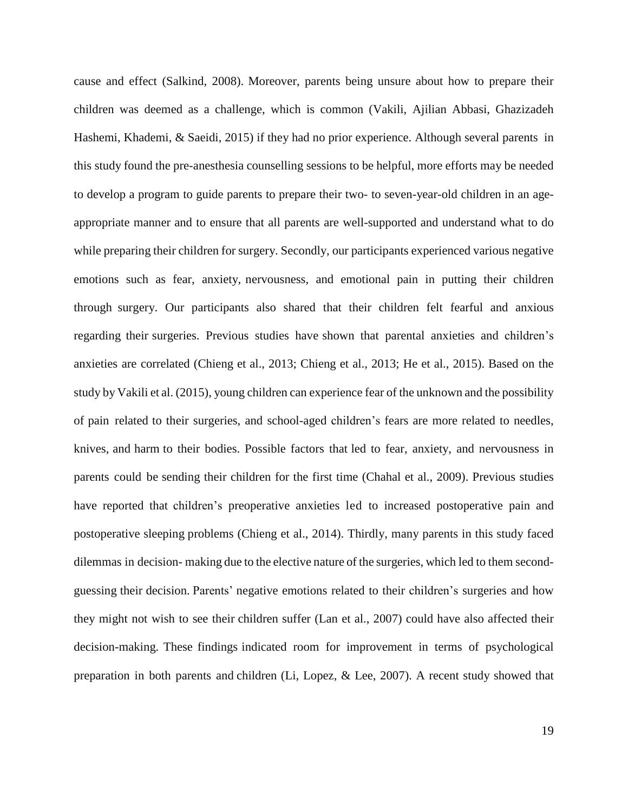cause and effect (Salkind, 2008). Moreover, parents being unsure about how to prepare their children was deemed as a challenge, which is common (Vakili, Ajilian Abbasi, Ghazizadeh Hashemi, Khademi, & Saeidi, 2015) if they had no prior experience. Although several parents in this study found the pre-anesthesia counselling sessions to be helpful, more efforts may be needed to develop a program to guide parents to prepare their two- to seven-year-old children in an ageappropriate manner and to ensure that all parents are well-supported and understand what to do while preparing their children for surgery. Secondly, our participants experienced various negative emotions such as fear, anxiety, nervousness, and emotional pain in putting their children through surgery. Our participants also shared that their children felt fearful and anxious regarding their surgeries. Previous studies have shown that parental anxieties and children's anxieties are correlated (Chieng et al., 2013; Chieng et al., 2013; He et al., 2015). Based on the study by Vakili et al. (2015), young children can experience fear of the unknown and the possibility of pain related to their surgeries, and school-aged children's fears are more related to needles, knives, and harm to their bodies. Possible factors that led to fear, anxiety, and nervousness in parents could be sending their children for the first time (Chahal et al., 2009). Previous studies have reported that children's preoperative anxieties led to increased postoperative pain and postoperative sleeping problems (Chieng et al., 2014). Thirdly, many parents in this study faced dilemmas in decision- making due to the elective nature of the surgeries, which led to them secondguessing their decision. Parents' negative emotions related to their children's surgeries and how they might not wish to see their children suffer (Lan et al., 2007) could have also affected their decision-making. These findings indicated room for improvement in terms of psychological preparation in both parents and children (Li, Lopez, & Lee, 2007). A recent study showed that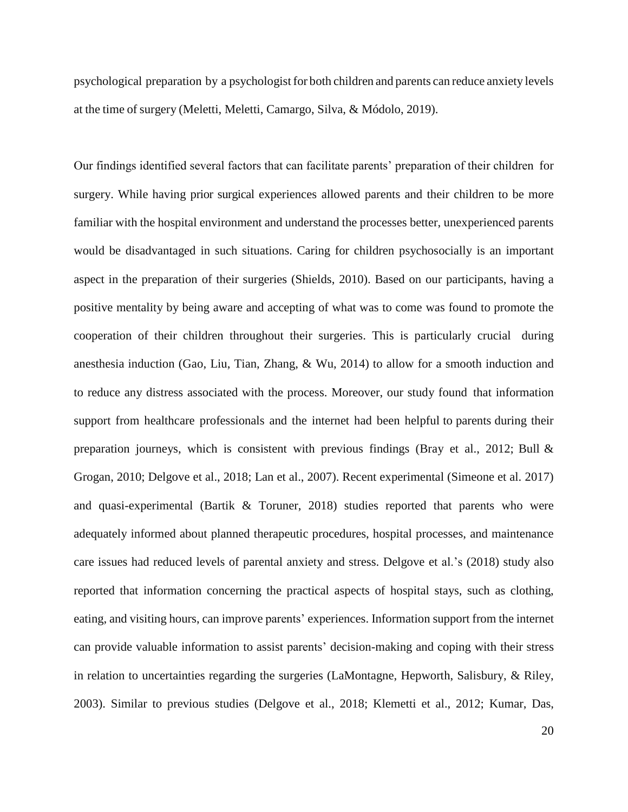psychological preparation by a psychologist for both children and parents can reduce anxiety levels at the time of surgery [\(Meletti,](https://www.ncbi.nlm.nih.gov/pubmed/?term=Meletti%20DP%5BAuthor%5D&cauthor=true&cauthor_uid=31340899) [Meletti, Camargo,](https://www.ncbi.nlm.nih.gov/pubmed/?term=Meletti%20JFA%5BAuthor%5D&cauthor=true&cauthor_uid=31340899) [Silva, &](https://www.ncbi.nlm.nih.gov/pubmed/?term=Silva%20LM%5BAuthor%5D&cauthor=true&cauthor_uid=31340899) [Módolo,](https://www.ncbi.nlm.nih.gov/pubmed/?term=M%C3%B3dolo%20NSP%5BAuthor%5D&cauthor=true&cauthor_uid=31340899) 2019).

Our findings identified several factors that can facilitate parents' preparation of their children for surgery. While having prior surgical experiences allowed parents and their children to be more familiar with the hospital environment and understand the processes better, unexperienced parents would be disadvantaged in such situations. Caring for children psychosocially is an important aspect in the preparation of their surgeries (Shields, 2010). Based on our participants, having a positive mentality by being aware and accepting of what was to come was found to promote the cooperation of their children throughout their surgeries. This is particularly crucial during anesthesia induction (Gao, Liu, Tian, Zhang, & Wu, 2014) to allow for a smooth induction and to reduce any distress associated with the process. Moreover, our study found that information support from healthcare professionals and the internet had been helpful to parents during their preparation journeys, which is consistent with previous findings (Bray et al., 2012; Bull & Grogan, 2010; Delgove et al., 2018; Lan et al., 2007). Recent experimental (Simeone et al. 2017) and quasi-experimental (Bartik & Toruner, 2018) studies reported that parents who were adequately informed about planned therapeutic procedures, hospital processes, and maintenance care issues had reduced levels of parental anxiety and stress. Delgove et al.'s (2018) study also reported that information concerning the practical aspects of hospital stays, such as clothing, eating, and visiting hours, can improve parents' experiences. Information support from the internet can provide valuable information to assist parents' decision-making and coping with their stress in relation to uncertainties regarding the surgeries (LaMontagne, Hepworth, Salisbury, & Riley, 2003). Similar to previous studies (Delgove et al., 2018; Klemetti et al., 2012; [Kumar,](https://www.ncbi.nlm.nih.gov/pubmed/?term=Kumar%20A%5BAuthor%5D&cauthor=true&cauthor_uid=30243867) [Das,](https://www.ncbi.nlm.nih.gov/pubmed/?term=Das%20S%5BAuthor%5D&cauthor=true&cauthor_uid=30243867)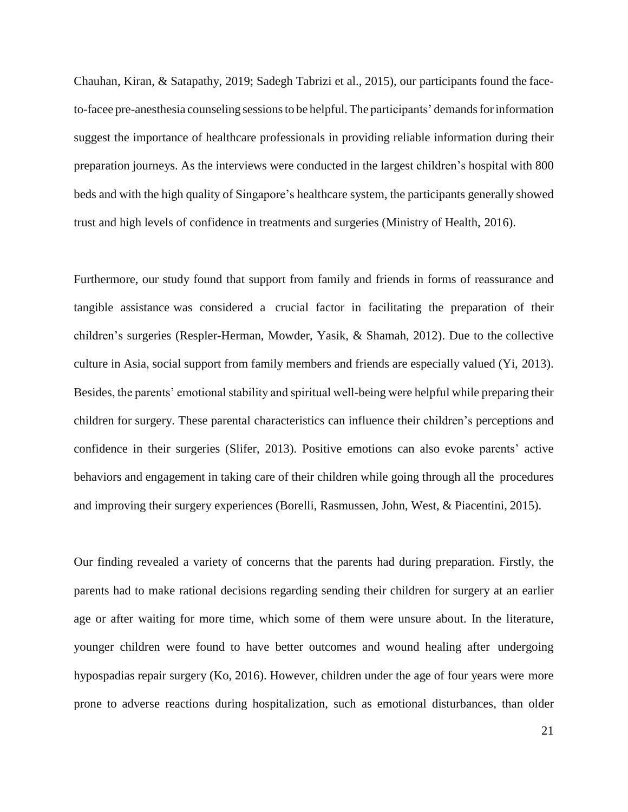[Chauhan, K](https://www.ncbi.nlm.nih.gov/pubmed/?term=Chauhan%20S%5BAuthor%5D&cauthor=true&cauthor_uid=30243867)iran, & [Satapathy, 2](https://www.ncbi.nlm.nih.gov/pubmed/?term=Satapathy%20S%5BAuthor%5D&cauthor=true&cauthor_uid=30243867)019; Sadegh Tabrizi et al., 2015), our participants found the faceto-facee pre-anesthesia counseling sessions to be helpful. The participants' demands for information suggest the importance of healthcare professionals in providing reliable information during their preparation journeys. As the interviews were conducted in the largest children's hospital with 800 beds and with the high quality of Singapore's healthcare system, the participants generally showed trust and high levels of confidence in treatments and surgeries (Ministry of Health, 2016).

Furthermore, our study found that support from family and friends in forms of reassurance and tangible assistance was considered a crucial factor in facilitating the preparation of their children's surgeries (Respler-Herman, Mowder, Yasik, & Shamah, 2012). Due to the collective culture in Asia, social support from family members and friends are especially valued (Yi, 2013). Besides, the parents' emotional stability and spiritual well-being were helpful while preparing their children for surgery. These parental characteristics can influence their children's perceptions and confidence in their surgeries (Slifer, 2013). Positive emotions can also evoke parents' active behaviors and engagement in taking care of their children while going through all the procedures and improving their surgery experiences (Borelli, Rasmussen, John, West, & Piacentini, 2015).

Our finding revealed a variety of concerns that the parents had during preparation. Firstly, the parents had to make rational decisions regarding sending their children for surgery at an earlier age or after waiting for more time, which some of them were unsure about. In the literature, younger children were found to have better outcomes and wound healing after undergoing hypospadias repair surgery (Ko, 2016). However, children under the age of four years were more prone to adverse reactions during hospitalization, such as emotional disturbances, than older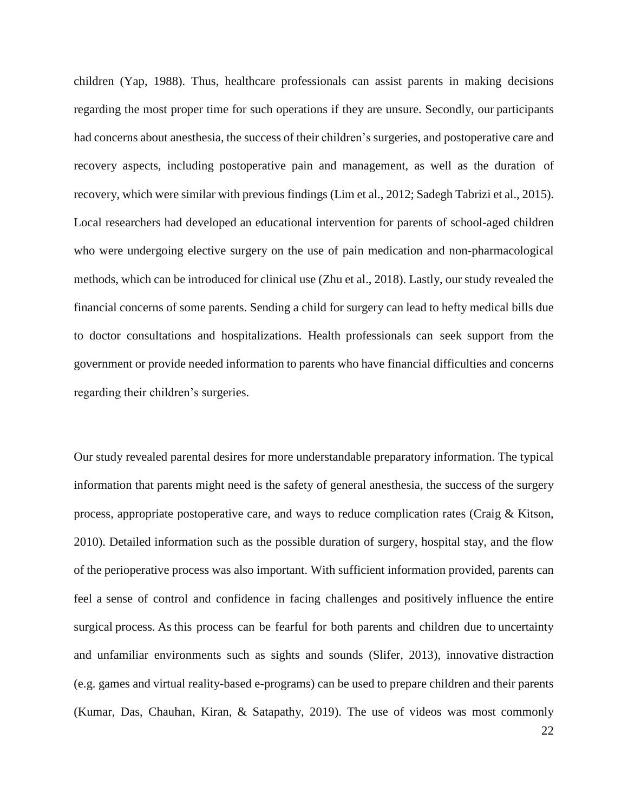children (Yap, 1988). Thus, healthcare professionals can assist parents in making decisions regarding the most proper time for such operations if they are unsure. Secondly, our participants had concerns about anesthesia, the success of their children's surgeries, and postoperative care and recovery aspects, including postoperative pain and management, as well as the duration of recovery, which were similar with previous findings (Lim et al., 2012; Sadegh Tabrizi et al., 2015). Local researchers had developed an educational intervention for parents of school-aged children who were undergoing elective surgery on the use of pain medication and non-pharmacological methods, which can be introduced for clinical use (Zhu et al., 2018). Lastly, our study revealed the financial concerns of some parents. Sending a child for surgery can lead to hefty medical bills due to doctor consultations and hospitalizations. Health professionals can seek support from the government or provide needed information to parents who have financial difficulties and concerns regarding their children's surgeries.

Our study revealed parental desires for more understandable preparatory information. The typical information that parents might need is the safety of general anesthesia, the success of the surgery process, appropriate postoperative care, and ways to reduce complication rates (Craig & Kitson, 2010). Detailed information such as the possible duration of surgery, hospital stay, and the flow of the perioperative process was also important. With sufficient information provided, parents can feel a sense of control and confidence in facing challenges and positively influence the entire surgical process. As this process can be fearful for both parents and children due to uncertainty and unfamiliar environments such as sights and sounds (Slifer, 2013), innovative distraction (e.g. games and virtual reality-based e-programs) can be used to prepare children and their parents [\(Kumar,](https://www.ncbi.nlm.nih.gov/pubmed/?term=Kumar%20A%5BAuthor%5D&cauthor=true&cauthor_uid=30243867) [Das,](https://www.ncbi.nlm.nih.gov/pubmed/?term=Kumar%20A%5BAuthor%5D&cauthor=true&cauthor_uid=30243867) [Chauhan,](https://www.ncbi.nlm.nih.gov/pubmed/?term=Chauhan%20S%5BAuthor%5D&cauthor=true&cauthor_uid=30243867) Kiran, & [Satapathy,](https://www.ncbi.nlm.nih.gov/pubmed/?term=Satapathy%20S%5BAuthor%5D&cauthor=true&cauthor_uid=30243867) 2019). The use of videos was most commonly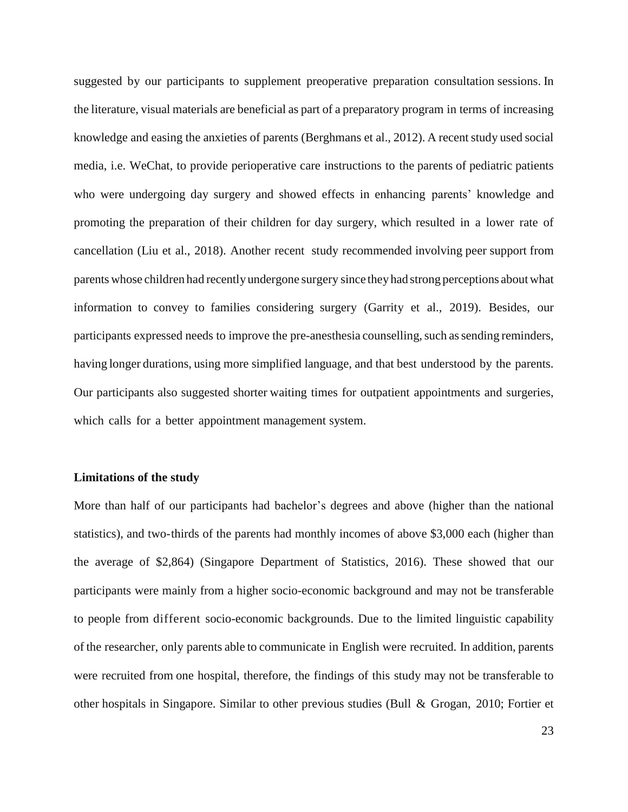suggested by our participants to supplement preoperative preparation consultation sessions. In the literature, visual materials are beneficial as part of a preparatory program in terms of increasing knowledge and easing the anxieties of parents (Berghmans et al., 2012). A recent study used social media, i.e. WeChat, to provide perioperative care instructions to the parents of pediatric patients who were undergoing day surgery and showed effects in enhancing parents' knowledge and promoting the preparation of their children for day surgery, which resulted in a lower rate of cancellation (Liu et al., 2018). Another recent study recommended involving peer support from parents whose children had recently undergone surgery since theyhad strong perceptions aboutwhat information to convey to families considering surgery (Garrity et al., 2019). Besides, our participants expressed needs to improve the pre-anesthesia counselling, such as sending reminders, having longer durations, using more simplified language, and that best understood by the parents. Our participants also suggested shorter waiting times for outpatient appointments and surgeries, which calls for a better appointment management system.

### **Limitations of the study**

More than half of our participants had bachelor's degrees and above (higher than the national statistics), and two-thirds of the parents had monthly incomes of above \$3,000 each (higher than the average of \$2,864) (Singapore Department of Statistics, 2016). These showed that our participants were mainly from a higher socio-economic background and may not be transferable to people from different socio-economic backgrounds. Due to the limited linguistic capability of the researcher, only parents able to communicate in English were recruited. In addition, parents were recruited from one hospital, therefore, the findings of this study may not be transferable to other hospitals in Singapore. Similar to other previous studies (Bull & Grogan, 2010; Fortier et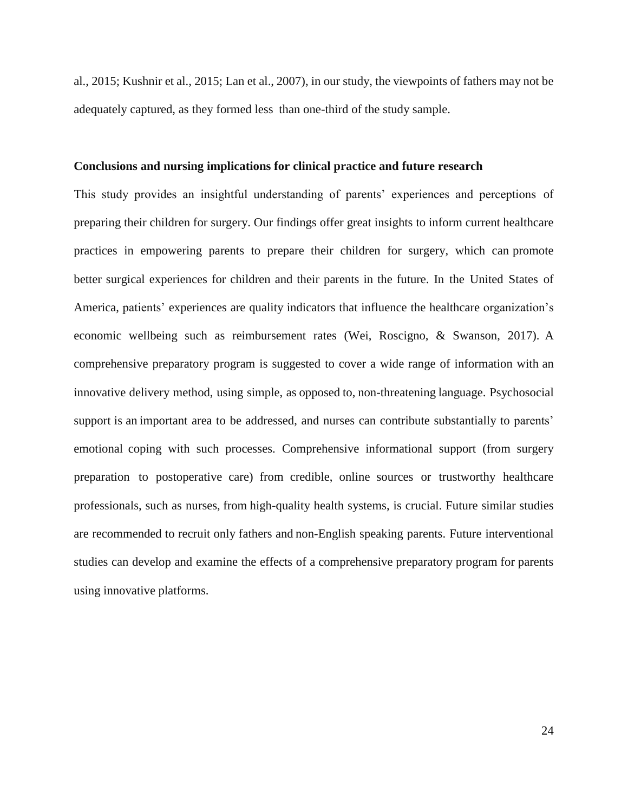al., 2015; Kushnir et al., 2015; Lan et al., 2007), in our study, the viewpoints of fathers may not be adequately captured, as they formed less than one-third of the study sample.

### **Conclusions and nursing implications for clinical practice and future research**

This study provides an insightful understanding of parents' experiences and perceptions of preparing their children for surgery. Our findings offer great insights to inform current healthcare practices in empowering parents to prepare their children for surgery, which can promote better surgical experiences for children and their parents in the future. In the United States of America, patients' experiences are quality indicators that influence the healthcare organization's economic wellbeing such as reimbursement rates (Wei, Roscigno, & Swanson, 2017). A comprehensive preparatory program is suggested to cover a wide range of information with an innovative delivery method, using simple, as opposed to, non-threatening language. Psychosocial support is an important area to be addressed, and nurses can contribute substantially to parents' emotional coping with such processes. Comprehensive informational support (from surgery preparation to postoperative care) from credible, online sources or trustworthy healthcare professionals, such as nurses, from high-quality health systems, is crucial. Future similar studies are recommended to recruit only fathers and non-English speaking parents. Future interventional studies can develop and examine the effects of a comprehensive preparatory program for parents using innovative platforms.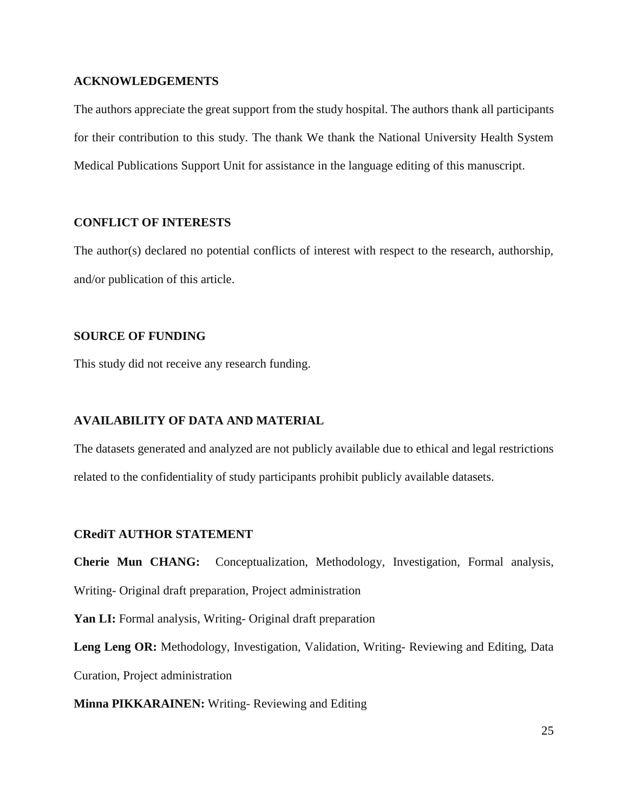### **ACKNOWLEDGEMENTS**

The authors appreciate the great support from the study hospital. The authors thank all participants for their contribution to this study. The thank We thank the National University Health System Medical Publications Support Unit for assistance in the language editing of this manuscript.

## **CONFLICT OF INTERESTS**

The author(s) declared no potential conflicts of interest with respect to the research, authorship, and/or publication of this article.

### **SOURCE OF FUNDING**

This study did not receive any research funding.

### **AVAILABILITY OF DATA AND MATERIAL**

The datasets generated and analyzed are not publicly available due to ethical and legal restrictions related to the confidentiality of study participants prohibit publicly available datasets.

### **CRediT AUTHOR STATEMENT**

**Cherie Mun CHANG:** Conceptualization, Methodology, Investigation, Formal analysis,

Writing- Original draft preparation, Project administration

Yan LI: Formal analysis, Writing- Original draft preparation

Leng Leng OR: Methodology, Investigation, Validation, Writing-Reviewing and Editing, Data Curation, Project administration

**Minna PIKKARAINEN:** Writing- Reviewing and Editing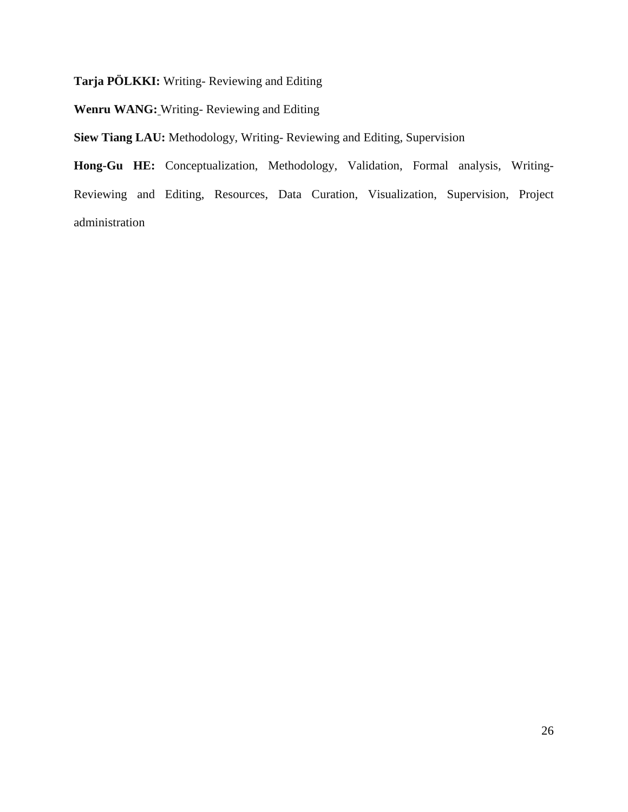**Tarja PÖLKKI:** Writing- Reviewing and Editing

**Wenru WANG:** Writing- Reviewing and Editing

**Siew Tiang LAU:** Methodology, Writing- Reviewing and Editing, Supervision

**Hong-Gu HE:** Conceptualization, Methodology, Validation, Formal analysis, Writing-Reviewing and Editing, Resources, Data Curation, Visualization, Supervision, Project administration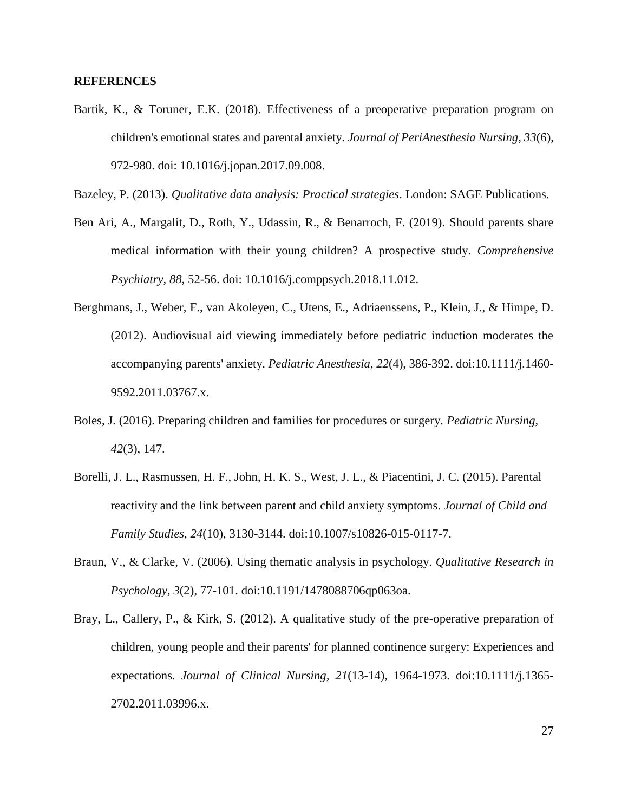### **REFERENCES**

Bartik, K., & Toruner, E.K. (2018). [Effectiveness of a preoperative preparation program on](https://www.ncbi.nlm.nih.gov/pubmed/30449445)  [children's emotional states and parental anxiety.](https://www.ncbi.nlm.nih.gov/pubmed/30449445) *Journal of PeriAnesthesia Nursing, 33*(6), 972-980. doi: 10.1016/j.jopan.2017.09.008.

Bazeley, P. (2013). *Qualitative data analysis: Practical strategies*. London: SAGE Publications.

- Ben Ari, A., Margalit, D., Roth, Y., Udassin, R., & Benarroch, F. (2019). [Should parents share](https://www.ncbi.nlm.nih.gov/pubmed/30504070)  [medical information with their young children? A prospective study.](https://www.ncbi.nlm.nih.gov/pubmed/30504070) *Comprehensive Psychiatry, 88,* 52-56. doi: 10.1016/j.comppsych.2018.11.012.
- Berghmans, J., Weber, F., van Akoleyen, C., Utens, E., Adriaenssens, P., Klein, J., & Himpe, D. (2012). Audiovisual aid viewing immediately before pediatric induction moderates the accompanying parents' anxiety. *Pediatric Anesthesia, 22*(4), 386-392. doi:10.1111/j.1460- 9592.2011.03767.x.
- Boles, J. (2016). Preparing children and families for procedures or surgery. *Pediatric Nursing, 42*(3), 147.
- Borelli, J. L., Rasmussen, H. F., John, H. K. S., West, J. L., & Piacentini, J. C. (2015). Parental reactivity and the link between parent and child anxiety symptoms. *Journal of Child and Family Studies, 24*(10), 3130-3144. doi:10.1007/s10826-015-0117-7.
- Braun, V., & Clarke, V. (2006). Using thematic analysis in psychology. *Qualitative Research in Psychology, 3*(2), 77-101. doi:10.1191/1478088706qp063oa.
- Bray, L., Callery, P., & Kirk, S. (2012). A qualitative study of the pre-operative preparation of children, young people and their parents' for planned continence surgery: Experiences and expectations. *Journal of Clinical Nursing, 21*(13-14), 1964-1973. doi:10.1111/j.1365- 2702.2011.03996.x.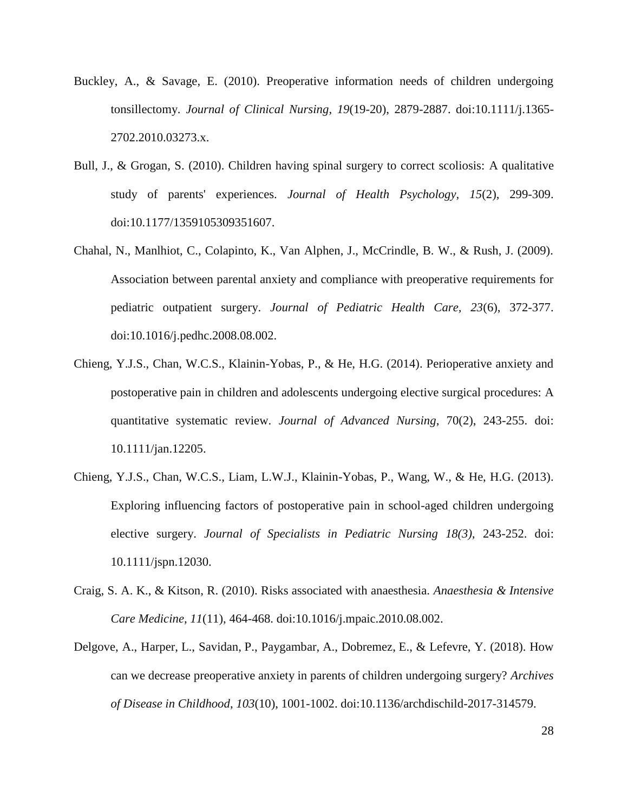- Buckley, A., & Savage, E. (2010). Preoperative information needs of children undergoing tonsillectomy. *Journal of Clinical Nursing, 19*(19-20), 2879-2887. doi:10.1111/j.1365- 2702.2010.03273.x.
- Bull, J., & Grogan, S. (2010). Children having spinal surgery to correct scoliosis: A qualitative study of parents' experiences. *Journal of Health Psychology, 15*(2), 299-309. doi:10.1177/1359105309351607.
- Chahal, N., Manlhiot, C., Colapinto, K., Van Alphen, J., McCrindle, B. W., & Rush, J. (2009). Association between parental anxiety and compliance with preoperative requirements for pediatric outpatient surgery. *Journal of Pediatric Health Care, 23*(6), 372-377. doi:10.1016/j.pedhc.2008.08.002.
- Chieng, Y.J.S., Chan, W.C.S., Klainin-Yobas, P., & He, H.G. (2014). Perioperative anxiety and postoperative pain in children and adolescents undergoing elective surgical procedures: A quantitative systematic review. *Journal of Advanced Nursing*, 70(2), 243-255. doi: 10.1111/jan.12205.
- Chieng, Y.J.S., Chan, W.C.S., Liam, L.W.J., Klainin-Yobas, P., Wang, W., & He, H.G. (2013). Exploring influencing factors of postoperative pain in school-aged children undergoing elective surgery. *Journal of Specialists in Pediatric Nursing 18(3),* 243-252. doi: 10.1111/jspn.12030.
- Craig, S. A. K., & Kitson, R. (2010). Risks associated with anaesthesia. *Anaesthesia & Intensive Care Medicine, 11*(11), 464-468. doi:10.1016/j.mpaic.2010.08.002.
- Delgove, A., Harper, L., Savidan, P., Paygambar, A., Dobremez, E., & Lefevre, Y. (2018). How can we decrease preoperative anxiety in parents of children undergoing surgery? *Archives of Disease in Childhood*, *103*(10), 1001-1002. doi:10.1136/archdischild-2017-314579.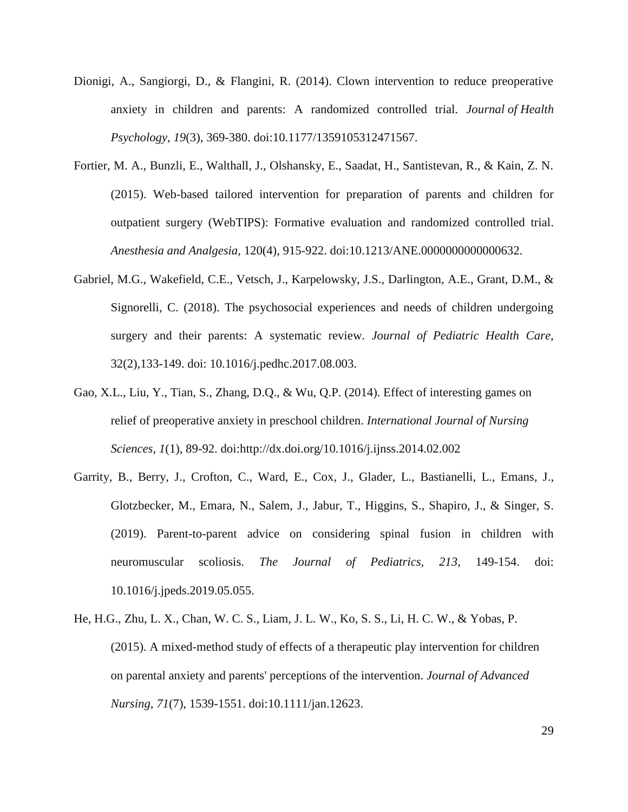- Dionigi, A., Sangiorgi, D., & Flangini, R. (2014). Clown intervention to reduce preoperative anxiety in children and parents: A randomized controlled trial. *Journal of Health Psychology, 19*(3), 369-380. doi:10.1177/1359105312471567.
- Fortier, M. A., Bunzli, E., Walthall, J., Olshansky, E., Saadat, H., Santistevan, R., & Kain, Z. N. (2015). Web-based tailored intervention for preparation of parents and children for outpatient surgery (WebTIPS): Formative evaluation and randomized controlled trial. *Anesthesia and Analgesia*, 120(4), 915-922. doi:10.1213/ANE.0000000000000632.
- [Gabriel, M.G.](https://www.ncbi.nlm.nih.gov/pubmed/?term=Gabriel%20MG%5BAuthor%5D&cauthor=true&cauthor_uid=29066150), [Wakefield, C.E.](https://www.ncbi.nlm.nih.gov/pubmed/?term=Wakefield%20CE%5BAuthor%5D&cauthor=true&cauthor_uid=29066150), [Vetsch, J.](https://www.ncbi.nlm.nih.gov/pubmed/?term=Vetsch%20J%5BAuthor%5D&cauthor=true&cauthor_uid=29066150), [Karpelowsky, J.S.](https://www.ncbi.nlm.nih.gov/pubmed/?term=Karpelowsky%20JS%5BAuthor%5D&cauthor=true&cauthor_uid=29066150), [Darlington, A.E.](https://www.ncbi.nlm.nih.gov/pubmed/?term=Darlington%20AE%5BAuthor%5D&cauthor=true&cauthor_uid=29066150), [Grant, D.M.](https://www.ncbi.nlm.nih.gov/pubmed/?term=Grant%20DM%5BAuthor%5D&cauthor=true&cauthor_uid=29066150), & [Signorelli, C.](https://www.ncbi.nlm.nih.gov/pubmed/?term=Signorelli%20C%5BAuthor%5D&cauthor=true&cauthor_uid=29066150) (2018). The psychosocial experiences and needs of children undergoing surgery and their parents: A systematic review. *Journal of Pediatric Health Care*, 32(2),133-149. doi: 10.1016/j.pedhc.2017.08.003.
- Gao, X.L., Liu, Y., Tian, S., Zhang, D.Q., & Wu, Q.P. (2014). Effect of interesting games on relief of preoperative anxiety in preschool children. *International Journal of Nursing Sciences, 1*(1), 89-92. doi:http://dx.doi.org/10.1016/j.ijnss.2014.02.002
- [Garrity, B.](https://www.ncbi.nlm.nih.gov/pubmed/?term=Garrity%20B%5BAuthor%5D&cauthor=true&cauthor_uid=31253410), [Berry, J.](https://www.ncbi.nlm.nih.gov/pubmed/?term=Berry%20J%5BAuthor%5D&cauthor=true&cauthor_uid=31253410), [Crofton, C.](https://www.ncbi.nlm.nih.gov/pubmed/?term=Crofton%20C%5BAuthor%5D&cauthor=true&cauthor_uid=31253410), [Ward, E.](https://www.ncbi.nlm.nih.gov/pubmed/?term=Ward%20E%5BAuthor%5D&cauthor=true&cauthor_uid=31253410), [Cox, J.](https://www.ncbi.nlm.nih.gov/pubmed/?term=Cox%20J%5BAuthor%5D&cauthor=true&cauthor_uid=31253410), [Glader, L.](https://www.ncbi.nlm.nih.gov/pubmed/?term=Glader%20L%5BAuthor%5D&cauthor=true&cauthor_uid=31253410), [Bastianelli, L.](https://www.ncbi.nlm.nih.gov/pubmed/?term=Bastianelli%20L%5BAuthor%5D&cauthor=true&cauthor_uid=31253410), [Emans, J.](https://www.ncbi.nlm.nih.gov/pubmed/?term=Emans%20J%5BAuthor%5D&cauthor=true&cauthor_uid=31253410), [Glotzbecker, M.](https://www.ncbi.nlm.nih.gov/pubmed/?term=Glotzbecker%20M%5BAuthor%5D&cauthor=true&cauthor_uid=31253410), [Emara, N.](https://www.ncbi.nlm.nih.gov/pubmed/?term=Emara%20N%5BAuthor%5D&cauthor=true&cauthor_uid=31253410), [Salem, J.](https://www.ncbi.nlm.nih.gov/pubmed/?term=Salem%20J%5BAuthor%5D&cauthor=true&cauthor_uid=31253410), [Jabur, T.](https://www.ncbi.nlm.nih.gov/pubmed/?term=Jabur%20T%5BAuthor%5D&cauthor=true&cauthor_uid=31253410), [Higgins, S.](https://www.ncbi.nlm.nih.gov/pubmed/?term=Higgins%20S%5BAuthor%5D&cauthor=true&cauthor_uid=31253410), [Shapiro, J.](https://www.ncbi.nlm.nih.gov/pubmed/?term=Shapiro%20J%5BAuthor%5D&cauthor=true&cauthor_uid=31253410), & [Singer, S.](https://www.ncbi.nlm.nih.gov/pubmed/?term=Singer%20S%5BAuthor%5D&cauthor=true&cauthor_uid=31253410) (2019). Parent-to-parent advice on considering spinal fusion in children with neuromuscular scoliosis. *The Journal of Pediatrics, 213*, 149-154. doi: 10.1016/j.jpeds.2019.05.055.
- He, H.G., Zhu, L. X., Chan, W. C. S., Liam, J. L. W., Ko, S. S., Li, H. C. W., & Yobas, P. (2015). A mixed-method study of effects of a therapeutic play intervention for children on parental anxiety and parents' perceptions of the intervention. *Journal of Advanced Nursing, 71*(7), 1539-1551. doi:10.1111/jan.12623.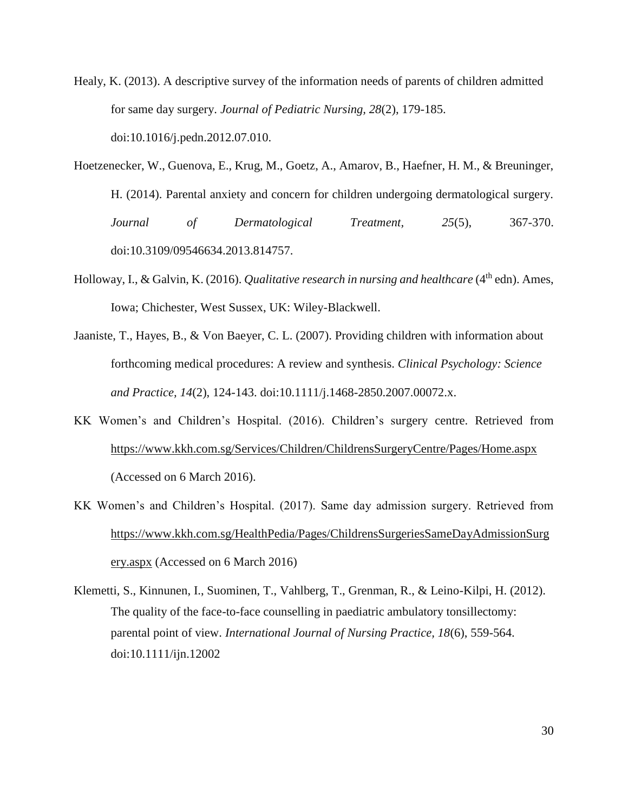- Healy, K. (2013). A descriptive survey of the information needs of parents of children admitted for same day surgery. *Journal of Pediatric Nursing, 28*(2), 179-185. doi:10.1016/j.pedn.2012.07.010.
- Hoetzenecker, W., Guenova, E., Krug, M., Goetz, A., Amarov, B., Haefner, H. M., & Breuninger, H. (2014). Parental anxiety and concern for children undergoing dermatological surgery. *Journal of Dermatological Treatment, 25*(5), 367-370. doi:10.3109/09546634.2013.814757.
- Holloway, I., & Galvin, K. (2016). *Qualitative research in nursing and healthcare* (4<sup>th</sup> edn). Ames, Iowa; Chichester, West Sussex, UK: Wiley-Blackwell.
- Jaaniste, T., Hayes, B., & Von Baeyer, C. L. (2007). Providing children with information about forthcoming medical procedures: A review and synthesis. *Clinical Psychology: Science and Practice, 14*(2), 124-143. doi:10.1111/j.1468-2850.2007.00072.x.
- KK Women's and Children's Hospital. (2016). Children's surgery centre. Retrieved from <https://www.kkh.com.sg/Services/Children/ChildrensSurgeryCentre/Pages/Home.aspx> (Accessed on 6 March 2016).
- KK Women's and Children's Hospital. (2017). Same day admission surgery. Retrieved from [https://www.kkh.com.sg/HealthPedia/Pages/ChildrensSurgeriesSameDayAdmissionSurg](https://www.kkh.com.sg/HealthPedia/Pages/ChildrensSurgeriesSameDayAdmissionSurgery.aspx) [ery.aspx](https://www.kkh.com.sg/HealthPedia/Pages/ChildrensSurgeriesSameDayAdmissionSurgery.aspx) (Accessed on 6 March 2016)
- Klemetti, S., Kinnunen, I., Suominen, T., Vahlberg, T., Grenman, R., & Leino-Kilpi, H. (2012). The quality of the face-to-face counselling in paediatric ambulatory tonsillectomy: parental point of view. *International Journal of Nursing Practice, 18*(6), 559-564. doi:10.1111/ijn.12002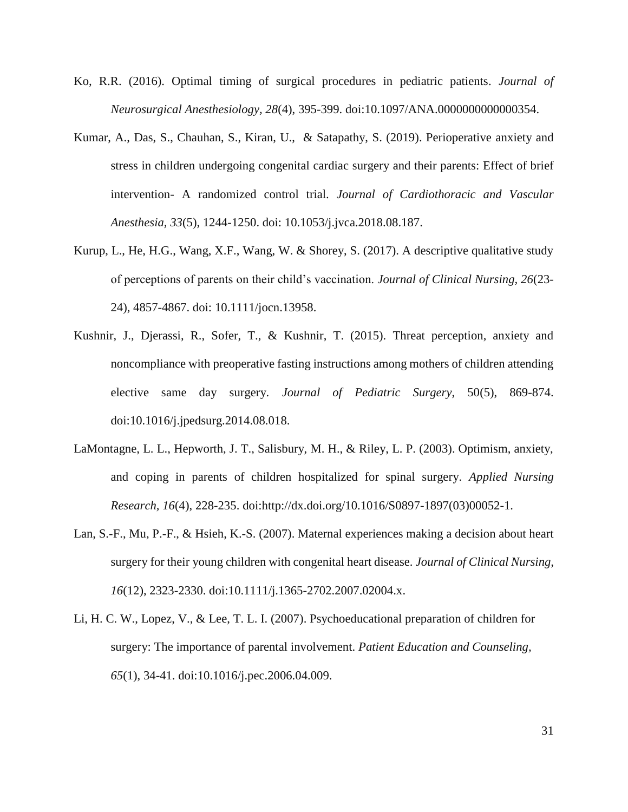- Ko, R.R. (2016). Optimal timing of surgical procedures in pediatric patients. *Journal of Neurosurgical Anesthesiology, 28*(4), 395-399. doi:10.1097/ANA.0000000000000354.
- [Kumar, A.](https://www.ncbi.nlm.nih.gov/pubmed/?term=Kumar%20A%5BAuthor%5D&cauthor=true&cauthor_uid=30243867), [Das, S.](https://www.ncbi.nlm.nih.gov/pubmed/?term=Das%20S%5BAuthor%5D&cauthor=true&cauthor_uid=30243867), [Chauhan, S.](https://www.ncbi.nlm.nih.gov/pubmed/?term=Chauhan%20S%5BAuthor%5D&cauthor=true&cauthor_uid=30243867), [Kiran, U.](https://www.ncbi.nlm.nih.gov/pubmed/?term=Kiran%20U%5BAuthor%5D&cauthor=true&cauthor_uid=30243867), & [Satapathy, S.](https://www.ncbi.nlm.nih.gov/pubmed/?term=Satapathy%20S%5BAuthor%5D&cauthor=true&cauthor_uid=30243867) (2019). Perioperative anxiety and stress in children undergoing congenital cardiac surgery and their parents: Effect of brief intervention- A randomized control trial. *Journal of Cardiothoracic and Vascular Anesthesia, 33*(5), 1244-1250. doi: 10.1053/j.jvca.2018.08.187.
- Kurup, L., He, H.G., Wang, X.F., Wang, W. & Shorey, S. (2017). A descriptive qualitative study of perceptions of parents on their child's vaccination. *Journal of Clinical Nursing, 26*(23- 24), 4857-4867. doi: 10.1111/jocn.13958.
- Kushnir, J., Djerassi, R., Sofer, T., & Kushnir, T. (2015). Threat perception, anxiety and noncompliance with preoperative fasting instructions among mothers of children attending elective same day surgery. *Journal of Pediatric Surgery*, 50(5), 869-874. doi:10.1016/j.jpedsurg.2014.08.018.
- LaMontagne, L. L., Hepworth, J. T., Salisbury, M. H., & Riley, L. P. (2003). Optimism, anxiety, and coping in parents of children hospitalized for spinal surgery. *Applied Nursing Research, 16*(4), 228-235. doi:http://dx.doi.org/10.1016/S0897-1897(03)00052-1.
- Lan, S.-F., Mu, P.-F., & Hsieh, K.-S. (2007). Maternal experiences making a decision about heart surgery for their young children with congenital heart disease. *Journal of Clinical Nursing, 16*(12), 2323-2330. doi[:10.1111/j.1365-2702.2007.02004.x.](https://doi.org/10.1111/j.1365-2702.2007.02004.x)
- Li, H. C. W., Lopez, V., & Lee, T. L. I. (2007). Psychoeducational preparation of children for surgery: The importance of parental involvement. *Patient Education and Counseling, 65*(1), 34-41. doi:10.1016/j.pec.2006.04.009.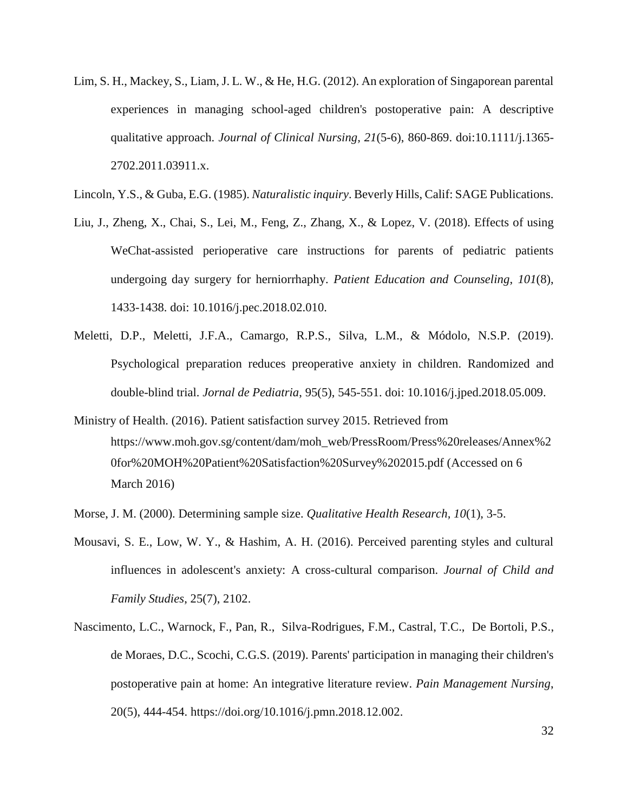- Lim, S. H., Mackey, S., Liam, J. L. W., & He, H.G. (2012). An exploration of Singaporean parental experiences in managing school-aged children's postoperative pain: A descriptive qualitative approach. *Journal of Clinical Nursing, 21*(5-6), 860-869. doi:10.1111/j.1365- 2702.2011.03911.x.
- Lincoln, Y.S., & Guba, E.G. (1985). *Naturalistic inquiry*. Beverly Hills, Calif: SAGE Publications.
- [Liu, J.](https://www.ncbi.nlm.nih.gov/pubmed/?term=Liu%20J%5BAuthor%5D&cauthor=true&cauthor_uid=29499997), [Zheng, X.](https://www.ncbi.nlm.nih.gov/pubmed/?term=Zheng%20X%5BAuthor%5D&cauthor=true&cauthor_uid=29499997), [Chai, S.](https://www.ncbi.nlm.nih.gov/pubmed/?term=Chai%20S%5BAuthor%5D&cauthor=true&cauthor_uid=29499997), [Lei, M.](https://www.ncbi.nlm.nih.gov/pubmed/?term=Lei%20M%5BAuthor%5D&cauthor=true&cauthor_uid=29499997), [Feng, Z.](https://www.ncbi.nlm.nih.gov/pubmed/?term=Feng%20Z%5BAuthor%5D&cauthor=true&cauthor_uid=29499997), [Zhang, X.](https://www.ncbi.nlm.nih.gov/pubmed/?term=Zhang%20X%5BAuthor%5D&cauthor=true&cauthor_uid=29499997), & [Lopez, V.](https://www.ncbi.nlm.nih.gov/pubmed/?term=Lopez%20V%5BAuthor%5D&cauthor=true&cauthor_uid=29499997) (2018). Effects of using WeChat-assisted perioperative care instructions for parents of pediatric patients undergoing day surgery for herniorrhaphy. *Patient Education and Counseling*, *101*(8), 1433-1438. doi: 10.1016/j.pec.2018.02.010.
- [Meletti, D.P.](https://www.ncbi.nlm.nih.gov/pubmed/?term=Meletti%20DP%5BAuthor%5D&cauthor=true&cauthor_uid=31340899), [Meletti, J.F.A.](https://www.ncbi.nlm.nih.gov/pubmed/?term=Meletti%20JFA%5BAuthor%5D&cauthor=true&cauthor_uid=31340899), [Camargo, R.P.S.](https://www.ncbi.nlm.nih.gov/pubmed/?term=Camargo%20RPS%5BAuthor%5D&cauthor=true&cauthor_uid=31340899), [Silva, L.M.](https://www.ncbi.nlm.nih.gov/pubmed/?term=Silva%20LM%5BAuthor%5D&cauthor=true&cauthor_uid=31340899), & [Módolo, N.S.P.](https://www.ncbi.nlm.nih.gov/pubmed/?term=M%C3%B3dolo%20NSP%5BAuthor%5D&cauthor=true&cauthor_uid=31340899) (2019). Psychological preparation reduces preoperative anxiety in children. Randomized and double-blind trial. *Jornal de Pediatria*, 95(5), 545-551. doi: 10.1016/j.jped.2018.05.009.
- Ministry of Health. (2016). Patient satisfaction survey 2015. Retrieved from https://www.moh.gov.sg/content/dam/moh\_web/PressRoom/Press%20releases/Annex%2 0for%20MOH%20Patient%20Satisfaction%20Survey%202015.pdf (Accessed on 6 March 2016)
- Morse, J. M. (2000). Determining sample size. *Qualitative Health Research, 10*(1), 3-5.
- Mousavi, S. E., Low, W. Y., & Hashim, A. H. (2016). Perceived parenting styles and cultural influences in adolescent's anxiety: A cross-cultural comparison. *Journal of Child and Family Studies*, 25(7), 2102.
- Nascimento, L.C., [Warnock, F., Pan, R., Silva-Rodrigues, F.M., Castral, T.C., De Bortoli, P.S.,](https://www.sciencedirect.com/science/article/abs/pii/S1524904217300103#!)  [de Moraes, D.C., Scochi, C.G.S. \(](https://www.sciencedirect.com/science/article/abs/pii/S1524904217300103#!)2019). Parents' participation in managing their children's postoperative pain at home: An integrative literature review. *[Pain Management Nursing](https://www.sciencedirect.com/science/journal/15249042)*, 20(5), 444-454. [https://doi.org/10.1016/j.pmn.2018.12.002.](https://doi.org/10.1016/j.pmn.2018.12.002)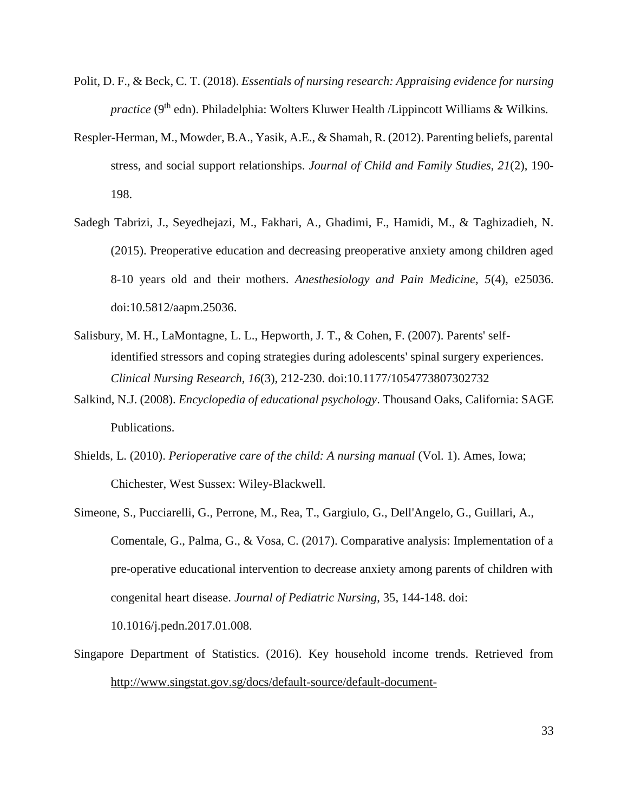- Polit, D. F., & Beck, C. T. (2018). *Essentials of nursing research: Appraising evidence for nursing practice* (9<sup>th</sup> edn). Philadelphia: Wolters Kluwer Health /Lippincott Williams & Wilkins.
- Respler-Herman, M., Mowder, B.A., Yasik, A.E., & Shamah, R. (2012). Parenting beliefs, parental stress, and social support relationships. *Journal of Child and Family Studies, 21*(2), 190- 198.
- Sadegh Tabrizi, J., Seyedhejazi, M., Fakhari, A., Ghadimi, F., Hamidi, M., & Taghizadieh, N. (2015). Preoperative education and decreasing preoperative anxiety among children aged 8-10 years old and their mothers. *Anesthesiology and Pain Medicine, 5*(4), e25036. doi:10.5812/aapm.25036.
- Salisbury, M. H., LaMontagne, L. L., Hepworth, J. T., & Cohen, F. (2007). Parents' selfidentified stressors and coping strategies during adolescents' spinal surgery experiences. *Clinical Nursing Research, 16*(3), 212-230. doi:10.1177/1054773807302732
- Salkind, N.J. (2008). *Encyclopedia of educational psychology*. Thousand Oaks, California: SAGE Publications.
- Shields, L. (2010). *Perioperative care of the child: A nursing manual* (Vol. 1). Ames, Iowa; Chichester, West Sussex: Wiley-Blackwell.
- [Simeone, S.](https://www.ncbi.nlm.nih.gov/pubmed/?term=Simeone%20S%5BAuthor%5D&cauthor=true&cauthor_uid=28131545), [Pucciarelli, G.](https://www.ncbi.nlm.nih.gov/pubmed/?term=Pucciarelli%20G%5BAuthor%5D&cauthor=true&cauthor_uid=28131545), [Perrone, M.](https://www.ncbi.nlm.nih.gov/pubmed/?term=Perrone%20M%5BAuthor%5D&cauthor=true&cauthor_uid=28131545), [Rea, T.](https://www.ncbi.nlm.nih.gov/pubmed/?term=Rea%20T%5BAuthor%5D&cauthor=true&cauthor_uid=28131545), [Gargiulo, G.](https://www.ncbi.nlm.nih.gov/pubmed/?term=Gargiulo%20G%5BAuthor%5D&cauthor=true&cauthor_uid=28131545), [Dell'Angelo, G.](https://www.ncbi.nlm.nih.gov/pubmed/?term=Dell), [Guillari, A.](https://www.ncbi.nlm.nih.gov/pubmed/?term=Guillari%20A%5BAuthor%5D&cauthor=true&cauthor_uid=28131545), [Comentale, G.](https://www.ncbi.nlm.nih.gov/pubmed/?term=Comentale%20G%5BAuthor%5D&cauthor=true&cauthor_uid=28131545), [Palma, G.](https://www.ncbi.nlm.nih.gov/pubmed/?term=Palma%20G%5BAuthor%5D&cauthor=true&cauthor_uid=28131545), & [Vosa, C.](https://www.ncbi.nlm.nih.gov/pubmed/?term=Vosa%20C%5BAuthor%5D&cauthor=true&cauthor_uid=28131545) (2017). Comparative analysis: Implementation of a pre-operative educational intervention to decrease anxiety among parents of children with congenital heart disease. *Journal of Pediatric Nursing*, 35, 144-148. doi: 10.1016/j.pedn.2017.01.008.
- Singapore Department of Statistics. (2016). Key household income trends. Retrieved from [http://www.singstat.gov.sg/docs/default-source/default-document-](http://www.singstat.gov.sg/docs/default-source/default-document-library/publications/publications_and_papers/household_income_and_expenditure/pp-s23.pdf)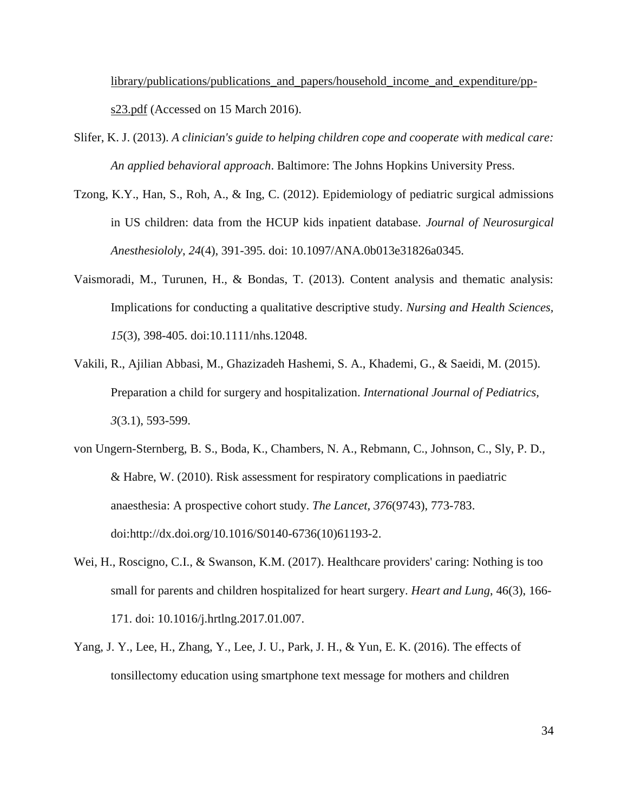[library/publications/publications\\_and\\_papers/household\\_income\\_and\\_expenditure/pp](http://www.singstat.gov.sg/docs/default-source/default-document-library/publications/publications_and_papers/household_income_and_expenditure/pp-s23.pdf)[s23.pdf](http://www.singstat.gov.sg/docs/default-source/default-document-library/publications/publications_and_papers/household_income_and_expenditure/pp-s23.pdf) (Accessed on 15 March 2016).

- Slifer, K. J. (2013). *A clinician's guide to helping children cope and cooperate with medical care: An applied behavioral approach*. Baltimore: The Johns Hopkins University Press.
- [Tzong, K.Y.](https://www.ncbi.nlm.nih.gov/pubmed/?term=Tzong%20KY%5BAuthor%5D&cauthor=true&cauthor_uid=23076227), [Han, S.](https://www.ncbi.nlm.nih.gov/pubmed/?term=Han%20S%5BAuthor%5D&cauthor=true&cauthor_uid=23076227), [Roh, A.](https://www.ncbi.nlm.nih.gov/pubmed/?term=Roh%20A%5BAuthor%5D&cauthor=true&cauthor_uid=23076227), & [Ing, C.](https://www.ncbi.nlm.nih.gov/pubmed/?term=Ing%20C%5BAuthor%5D&cauthor=true&cauthor_uid=23076227) (2012). Epidemiology of pediatric surgical admissions in US children: data from the HCUP kids inpatient database. *[Journal of Neurosurgical](https://www.ncbi.nlm.nih.gov/pubmed/23076227)  [Anesthesiololy](https://www.ncbi.nlm.nih.gov/pubmed/23076227)*, *24*(4), 391-395. doi: 10.1097/ANA.0b013e31826a0345.
- Vaismoradi, M., Turunen, H., & Bondas, T. (2013). Content analysis and thematic analysis: Implications for conducting a qualitative descriptive study. *Nursing and Health Sciences, 15*(3), 398-405. doi:10.1111/nhs.12048.
- Vakili, R., Ajilian Abbasi, M., Ghazizadeh Hashemi, S. A., Khademi, G., & Saeidi, M. (2015). Preparation a child for surgery and hospitalization. *International Journal of Pediatrics, 3*(3.1), 593-599.
- von Ungern-Sternberg, B. S., Boda, K., Chambers, N. A., Rebmann, C., Johnson, C., Sly, P. D., & Habre, W. (2010). Risk assessment for respiratory complications in paediatric anaesthesia: A prospective cohort study. *The Lancet, 376*(9743), 773-783. doi:http://dx.doi.org/10.1016/S0140-6736(10)61193-2.
- [Wei,](https://www.ncbi.nlm.nih.gov/pubmed/?term=Wei%20H%5BAuthor%5D&cauthor=true&cauthor_uid=28237272) H., [Roscigno,](https://www.ncbi.nlm.nih.gov/pubmed/?term=Roscigno%20CI%5BAuthor%5D&cauthor=true&cauthor_uid=28237272) C.I., & [Swanson,](https://www.ncbi.nlm.nih.gov/pubmed/?term=Swanson%20KM%5BAuthor%5D&cauthor=true&cauthor_uid=28237272) K.M. (2017). Healthcare providers' caring: Nothing is too small for parents and children hospitalized for heart surgery. *[Heart](https://www.ncbi.nlm.nih.gov/pubmed/28237272) and Lung*, 46(3), 166- 171. doi: 10.1016/j.hrtlng.2017.01.007.
- Yang, J. Y., Lee, H., Zhang, Y., Lee, J. U., Park, J. H., & Yun, E. K. (2016). The effects of tonsillectomy education using smartphone text message for mothers and children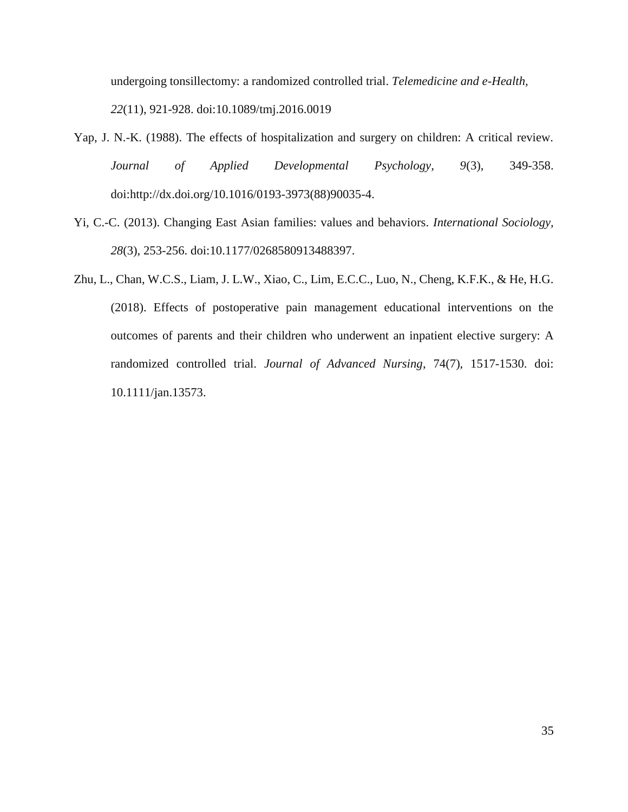undergoing tonsillectomy: a randomized controlled trial. *Telemedicine and e-Health, 22*(11), 921-928. doi:10.1089/tmj.2016.0019

- Yap, J. N.-K. (1988). The effects of hospitalization and surgery on children: A critical review. *Journal of Applied Developmental Psychology, 9*(3), 349-358. doi:http://dx.doi.org/10.1016/0193-3973(88)90035-4.
- Yi, C.-C. (2013). Changing East Asian families: values and behaviors. *International Sociology, 28*(3), 253-256. doi:10.1177/0268580913488397.
- Zhu, L., Chan, W.C.S., Liam, J. L.W., Xiao, C., Lim, E.C.C., Luo, N., Cheng, K.F.K., & He, H.G. (2018). Effects of postoperative pain management educational interventions on the outcomes of parents and their children who underwent an inpatient elective surgery: A randomized controlled trial. *Journal of Advanced Nursing*, 74(7), 1517-1530. doi: 10.1111/jan.13573.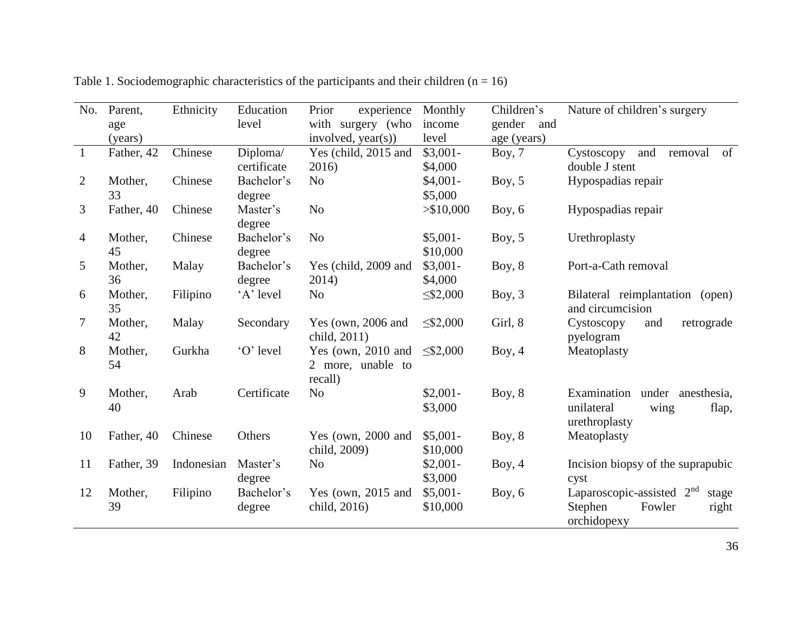| No.            | Parent,    | Ethnicity  | Education          | Prior<br>experience   | Monthly        | Children's    | Nature of children's surgery                   |
|----------------|------------|------------|--------------------|-----------------------|----------------|---------------|------------------------------------------------|
|                | age        |            | level              | with surgery (who     | income         | gender<br>and |                                                |
|                | (years)    |            |                    | involved, $year(s)$ ) | level          | age (years)   |                                                |
| -1             | Father, 42 | Chinese    | Diploma/           | Yes (child, 2015 and  | $$3,001-$      | Boy, $7$      | and<br>of<br>Cystoscopy<br>removal             |
|                |            |            | certificate        | 2016)                 | \$4,000        |               | double J stent                                 |
| 2              | Mother,    | Chinese    | Bachelor's         | N <sub>0</sub>        | $$4,001-$      | Boy, $5$      | Hypospadias repair                             |
|                | 33         |            | degree             |                       | \$5,000        |               |                                                |
| 3              | Father, 40 | Chinese    | Master's<br>degree | N <sub>o</sub>        | > \$10,000     | Boy, $6$      | Hypospadias repair                             |
| $\overline{4}$ | Mother,    | Chinese    | Bachelor's         | N <sub>o</sub>        | $$5,001-$      | Boy, $5$      | Urethroplasty                                  |
|                | 45         |            | degree             |                       | \$10,000       |               |                                                |
| 5              | Mother,    | Malay      | Bachelor's         | Yes (child, 2009 and  | $$3,001-$      | Boy, $8$      | Port-a-Cath removal                            |
|                | 36         |            | degree             | 2014)                 | \$4,000        |               |                                                |
| 6              | Mother,    | Filipino   | 'A' level          | N <sub>o</sub>        | $\leq 2,000$   | Boy, $3$      | Bilateral reimplantation (open)                |
|                | 35         |            |                    |                       |                |               | and circumcision                               |
| 7              | Mother,    | Malay      | Secondary          | Yes (own, 2006 and    | $\leq$ \$2,000 | Girl, 8       | Cystoscopy<br>retrograde<br>and                |
|                | 42         |            |                    | child, 2011)          |                |               | pyelogram                                      |
| 8              | Mother,    | Gurkha     | 'O' level          | Yes (own, $2010$ and  | $\leq 2,000$   | Boy, $4$      | Meatoplasty                                    |
|                | 54         |            |                    | 2 more, unable to     |                |               |                                                |
|                |            |            |                    | recall)               |                |               |                                                |
| 9              | Mother,    | Arab       | Certificate        | N <sub>0</sub>        | $$2,001-$      | Boy, $8$      | Examination<br>under anesthesia,               |
|                | 40         |            |                    |                       | \$3,000        |               | unilateral<br>wing<br>flap,                    |
|                |            |            |                    |                       |                |               | urethroplasty                                  |
| 10             | Father, 40 | Chinese    | Others             | Yes (own, 2000 and    | $$5,001-$      | Boy, $8$      | Meatoplasty                                    |
|                |            |            |                    | child, 2009)          | \$10,000       |               |                                                |
| 11             | Father, 39 | Indonesian | Master's           | N <sub>o</sub>        | $$2,001-$      | Boy, $4$      | Incision biopsy of the suprapubic              |
|                |            |            | degree             |                       | \$3,000        |               | cyst                                           |
| 12             | Mother,    | Filipino   | Bachelor's         | Yes (own, 2015 and    | $$5,001-$      | Boy, $6$      | Laparoscopic-assisted 2 <sup>nd</sup><br>stage |
|                | 39         |            | degree             | child, 2016)          | \$10,000       |               | Stephen<br>Fowler<br>right                     |
|                |            |            |                    |                       |                |               | orchidopexy                                    |

Table 1. Sociodemographic characteristics of the participants and their children  $(n = 16)$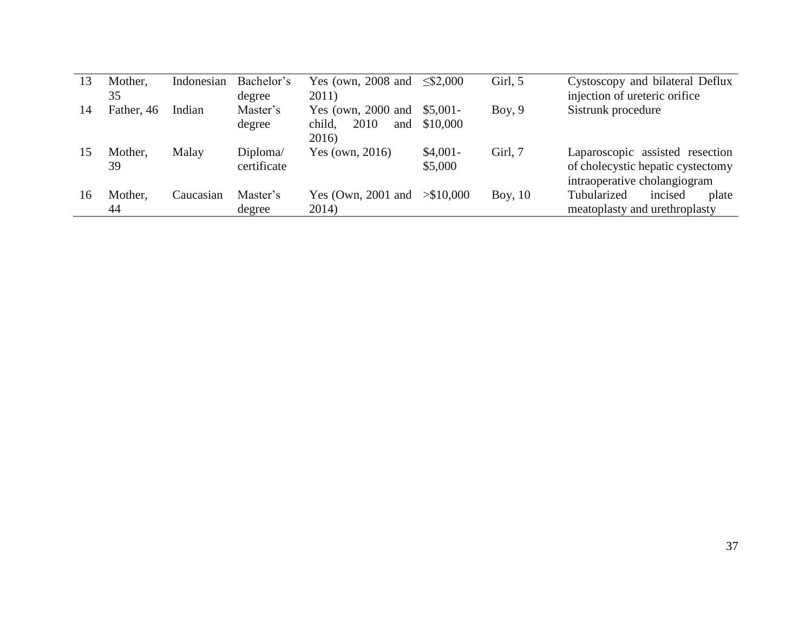| 13 | Mother,<br>35 | Indonesian | Bachelor's<br>degree    | Yes (own, 2008 and $\leq$ \$2,000<br>2011)                    |                      | Girl, 5   | Cystoscopy and bilateral Deflux<br>injection of ureteric orifice                                     |
|----|---------------|------------|-------------------------|---------------------------------------------------------------|----------------------|-----------|------------------------------------------------------------------------------------------------------|
| 14 | Father, 46    | Indian     | Master's<br>degree      | Yes (own, 2000 and \$5,001-<br>2010<br>child,<br>and<br>2016) | \$10,000             | Boy, $9$  | Sistrunk procedure                                                                                   |
| 15 | Mother.<br>39 | Malay      | Diploma/<br>certificate | Yes (own, $2016$ )                                            | $$4,001-$<br>\$5,000 | Girl, 7   | Laparoscopic assisted resection<br>of cholecystic hepatic cystectomy<br>intraoperative cholangiogram |
| 16 | Mother.<br>44 | Caucasian  | Master's<br>degree      | Yes (Own, 2001 and $> $10,000$<br>2014)                       |                      | Boy, $10$ | Tubularized<br>incised<br>plate<br>meatoplasty and urethroplasty                                     |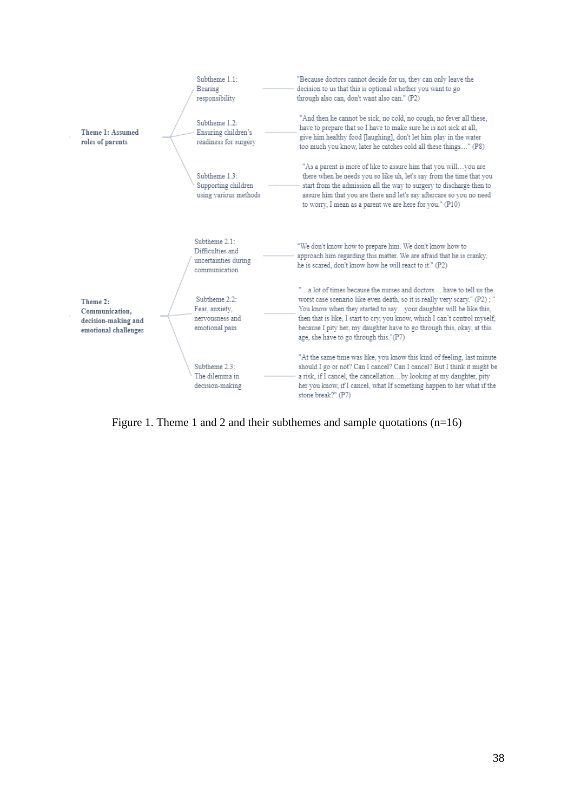|                                                                           | Subtheme 1.1:<br>Bearing<br>responsibility                                 | "Because doctors cannot decide for us, they can only leave the<br>decision to us that this is optional whether you want to go<br>through also can, don't want also can." (P2)                                                                                                                                                                                                                                           |
|---------------------------------------------------------------------------|----------------------------------------------------------------------------|-------------------------------------------------------------------------------------------------------------------------------------------------------------------------------------------------------------------------------------------------------------------------------------------------------------------------------------------------------------------------------------------------------------------------|
| Theme 1: Assumed<br>roles of parents                                      | Subtheme 1.2:<br>Ensuring children's<br>readiness for surgery              | "And then he cannot be sick, no cold, no cough, no fever all these,<br>have to prepare that so I have to make sure he is not sick at all,<br>give him healthy food [laughing], don't let him play in the water<br>too much you know, later he catches cold all these things" (P8)                                                                                                                                       |
|                                                                           | Subtheme 1.3:<br>Supporting children<br>using various methods              | "As a parent is more of like to assure him that you willyou are<br>there when he needs you so like uh, let's say from the time that you<br>start from the admission all the way to surgery to discharge then to<br>assure him that you are there and let's say aftercare so you no need<br>to worry, I mean as a parent we are here for you." (P10)                                                                     |
|                                                                           | Subtheme 2.1:<br>Difficulties and<br>uncertainties during<br>communication | "We don't know how to prepare him. We don't know how to<br>approach him regarding this matter. We are afraid that he is cranky,<br>he is scared, don't know how he will react to it." (P2)                                                                                                                                                                                                                              |
| Theme 2:<br>Communication,<br>decision-making and<br>emotional challenges | Subtheme 2.2:<br>Fear, anxiety,<br>nervousness and<br>emotional pain       | "a lot of times because the nurses and doctors  have to tell us the<br>worst case scenario like even death, so it is really very scary." (P2); "<br>You know when they started to sayyour daughter will be like this,<br>then that is like, I start to cry, you know, which I can't control myself,<br>because I pity her, my daughter have to go through this, okay, at this<br>age, she have to go through this."(P7) |
|                                                                           | Subtheme 2.3:<br>The dilemma in<br>decision-making                         | "At the same time was like, you know this kind of feeling, last minute<br>should I go or not? Can I cancel? Can I cancel? But I think it might be<br>a risk, if I cancel, the cancellationby looking at my daughter, pity<br>her you know, if I cancel, what If something happen to her what if the<br>stone break?" (P7)                                                                                               |

Figure 1. Theme 1 and 2 and their subthemes and sample quotations (n=16)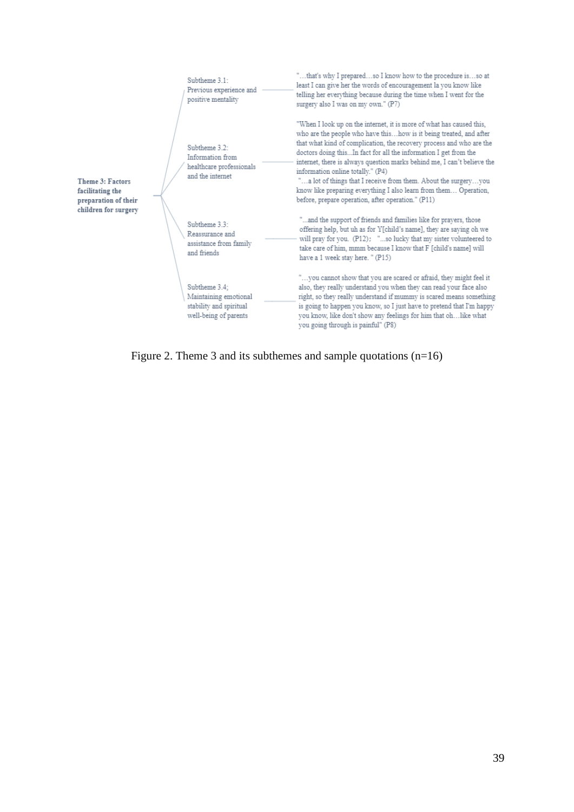|                                                              | Subtheme 3.1:<br>Previous experience and<br>positive mentality                             | "that's why I preparedso I know how to the procedure isso at<br>least I can give her the words of encouragement la you know like<br>telling her everything because during the time when I went for the<br>surgery also I was on my own." (P7)                                                                                                                                                                                                                                                                                                                                                       |
|--------------------------------------------------------------|--------------------------------------------------------------------------------------------|-----------------------------------------------------------------------------------------------------------------------------------------------------------------------------------------------------------------------------------------------------------------------------------------------------------------------------------------------------------------------------------------------------------------------------------------------------------------------------------------------------------------------------------------------------------------------------------------------------|
| Theme 3: Factors<br>facilitating the<br>preparation of their | Subtheme 3.2:<br>Information from<br>healthcare professionals<br>and the internet          | "When I look up on the internet, it is more of what has caused this,<br>who are the people who have thishow is it being treated, and after<br>that what kind of complication, the recovery process and who are the<br>doctors doing thisIn fact for all the information I get from the<br>internet, there is always question marks behind me, I can't believe the<br>information online totally." (P4)<br>"a lot of things that I receive from them. About the surgeryyou<br>know like preparing everything I also learn from them Operation,<br>before, prepare operation, after operation." (P11) |
| children for surgery                                         | Subtheme 3.3:<br>Reassurance and<br>assistance from family<br>and friends                  | "and the support of friends and families like for prayers, those<br>offering help, but uh as for Y[child's name], they are saying oh we<br>will pray for you. (P12); "so lucky that my sister volunteered to<br>take care of him, mmm because I know that F [child's name] will<br>have a 1 week stay here. " (P15)                                                                                                                                                                                                                                                                                 |
|                                                              | Subtheme 3.4;<br>Maintaining emotional<br>stability and spiritual<br>well-being of parents | "you cannot show that you are scared or afraid, they might feel it<br>also, they really understand you when they can read your face also<br>right, so they really understand if mummy is scared means something<br>is going to happen you know, so I just have to pretend that I'm happy<br>you know, like don't show any feelings for him that ohlike what<br>you going through is painful" (P8)                                                                                                                                                                                                   |

Figure 2. Theme 3 and its subthemes and sample quotations (n=16)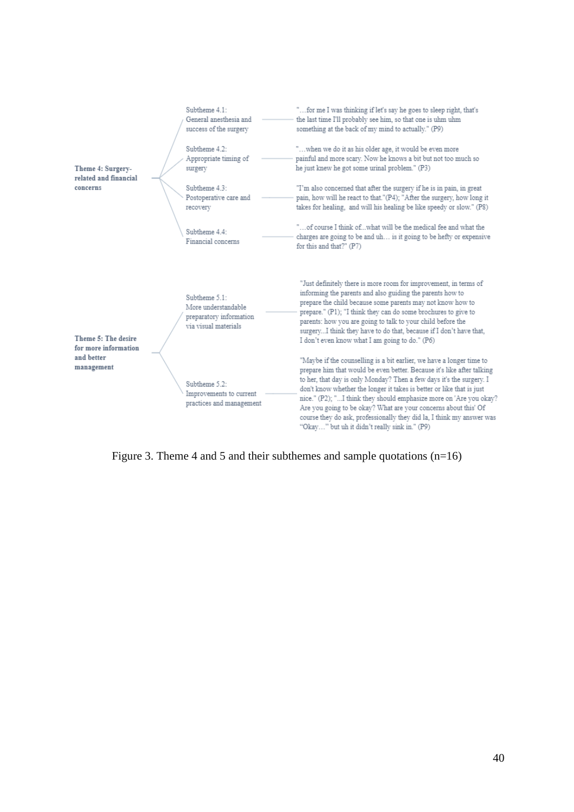|                                             |  | Subtheme 4.1:<br>General anesthesia and<br>success of the surgery                        | "for me I was thinking if let's say he goes to sleep right, that's<br>the last time I'll probably see him, so that one is uhm uhm<br>something at the back of my mind to actually." (P9)                                                                                                                                                                                                                                                                                                                                                                           |
|---------------------------------------------|--|------------------------------------------------------------------------------------------|--------------------------------------------------------------------------------------------------------------------------------------------------------------------------------------------------------------------------------------------------------------------------------------------------------------------------------------------------------------------------------------------------------------------------------------------------------------------------------------------------------------------------------------------------------------------|
| Theme 4: Surgery-<br>related and financial  |  | Subtheme 4.2:<br>Appropriate timing of<br>surgery                                        | "when we do it as his older age, it would be even more<br>painful and more scary. Now he knows a bit but not too much so<br>he just knew he got some urinal problem." (P3)                                                                                                                                                                                                                                                                                                                                                                                         |
| concerns                                    |  | Subtheme 4.3:<br>Postoperative care and<br>recovery                                      | "I'm also concerned that after the surgery if he is in pain, in great<br>pain, how will he react to that."(P4); "After the surgery, how long it<br>takes for healing, and will his healing be like speedy or slow." (P8)                                                                                                                                                                                                                                                                                                                                           |
|                                             |  | Subtheme 4.4:<br>Financial concerns                                                      | "of course I think ofwhat will be the medical fee and what the<br>charges are going to be and uh is it going to be hefty or expensive<br>for this and that?" (P7)                                                                                                                                                                                                                                                                                                                                                                                                  |
| Theme 5: The desire<br>for more information |  | Subtheme 5.1:<br>More understandable<br>preparatory information<br>via visual materials. | "Just definitely there is more room for improvement, in terms of<br>informing the parents and also guiding the parents how to<br>prepare the child because some parents may not know how to<br>prepare." (P1); "I think they can do some brochures to give to<br>parents: how you are going to talk to your child before the<br>surgeryI think they have to do that, because if I don't have that,<br>I don't even know what I am going to do." (P6)                                                                                                               |
| and better<br>management                    |  | Subtheme 5.2:<br>Improvements to current<br>practices and management                     | "Maybe if the counselling is a bit earlier, we have a longer time to<br>prepare him that would be even better. Because it's like after talking<br>to her, that day is only Monday? Then a few days it's the surgery. I<br>don't know whether the longer it takes is better or like that is just<br>nice." (P2); "I think they should emphasize more on 'Are you okay?<br>Are you going to be okay? What are your concerns about this' Of<br>course they do ask, professionally they did la, I think my answer was<br>"Okav" but uh it didn't really sink in." (P9) |

Figure 3. Theme 4 and 5 and their subthemes and sample quotations (n=16)